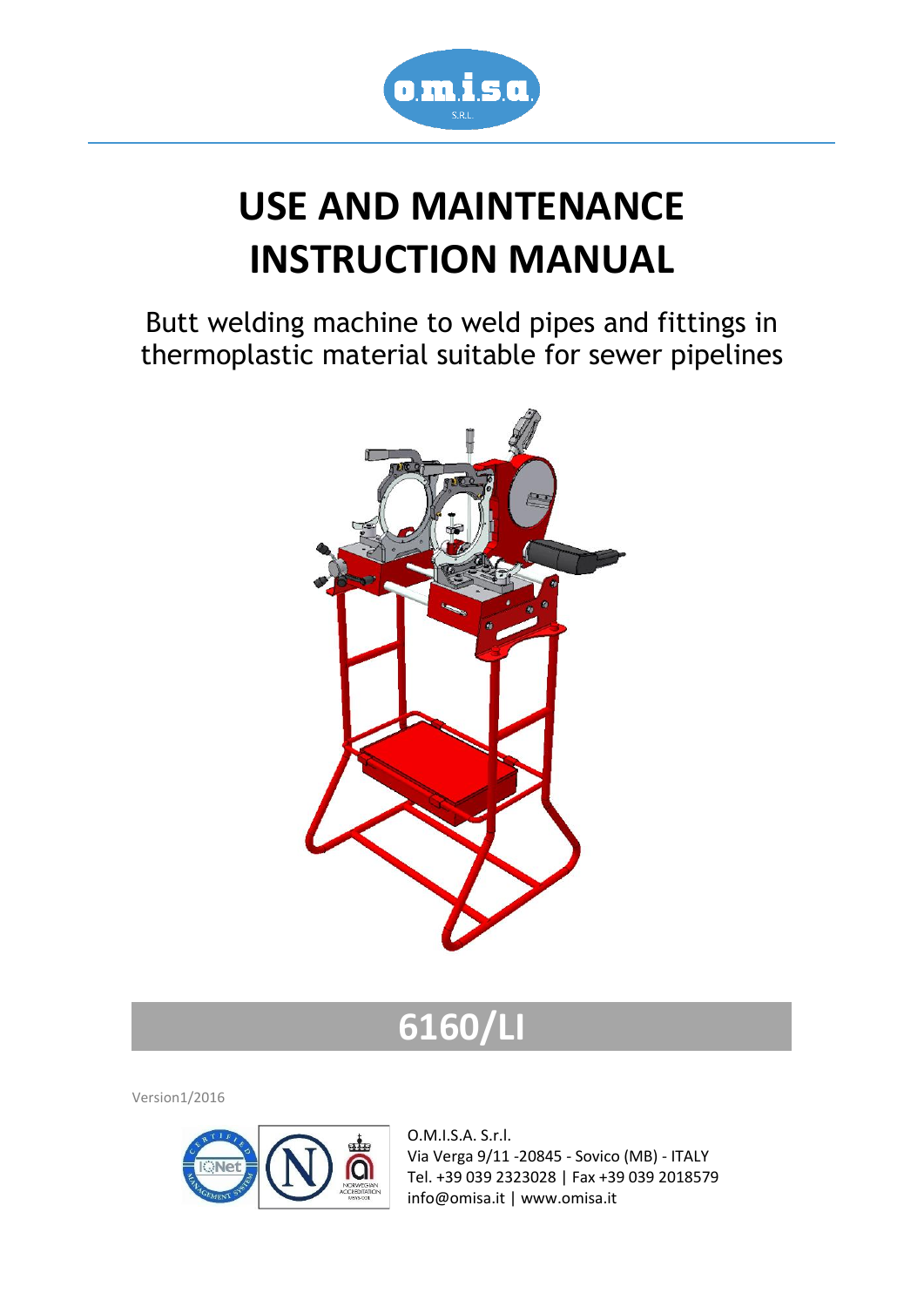

# **USE AND MAINTENANCE INSTRUCTION MANUAL**

Butt welding machine to weld pipes and fittings in thermoplastic material suitable for sewer pipelines



# **6160/LI**

Version1/2016



O.M.I.S.A. S.r.l. Via Verga 9/11 -20845 - Sovico (MB) - ITALY Tel. +39 039 2323028 | Fax +39 039 2018579 info@omisa.it | www.omisa.it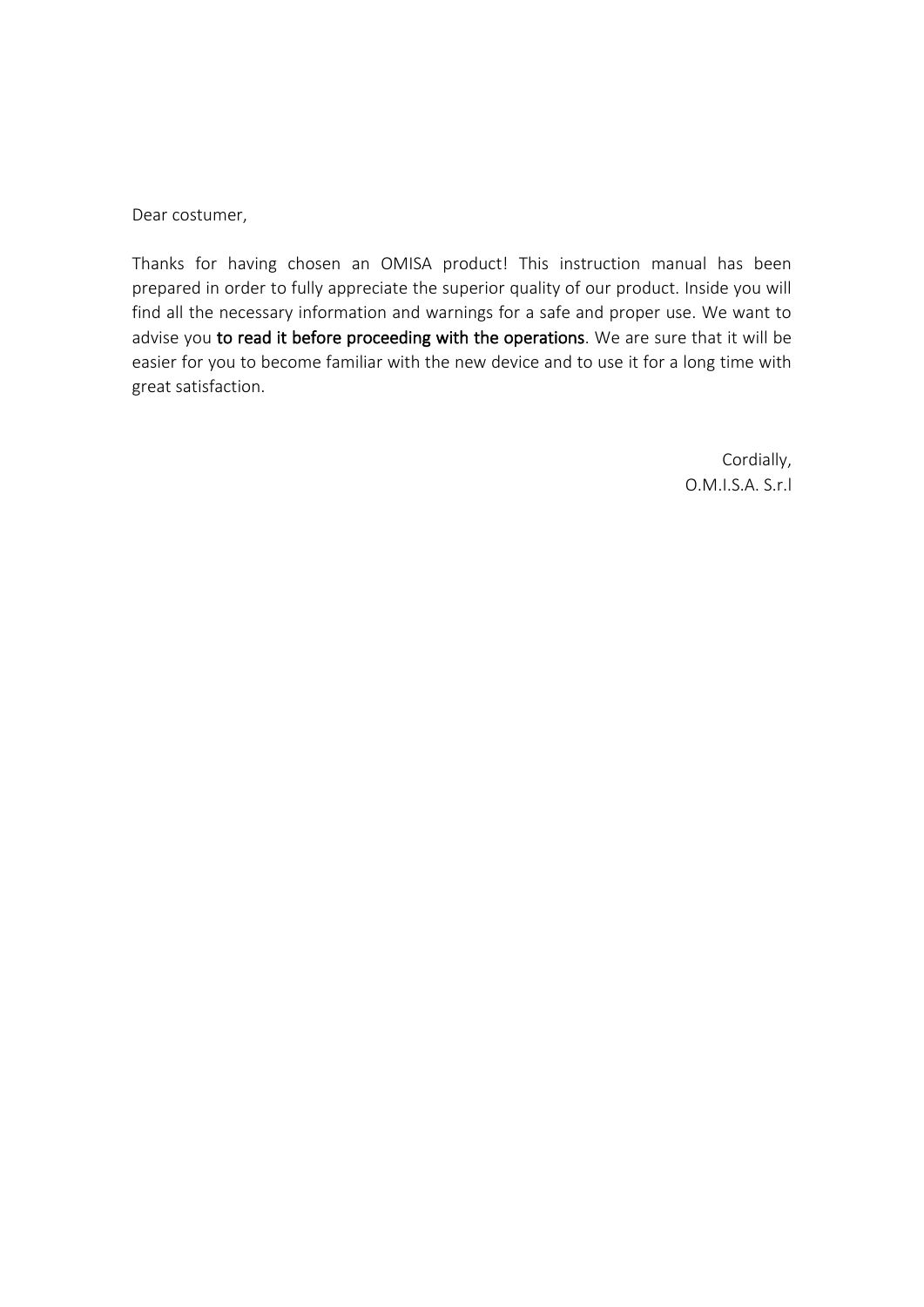Dear costumer,

Thanks for having chosen an OMISA product! This instruction manual has been prepared in order to fully appreciate the superior quality of our product. Inside you will find all the necessary information and warnings for a safe and proper use. We want to advise you to read it before proceeding with the operations. We are sure that it will be easier for you to become familiar with the new device and to use it for a long time with great satisfaction.

> Cordially, O.M.I.S.A. S.r.l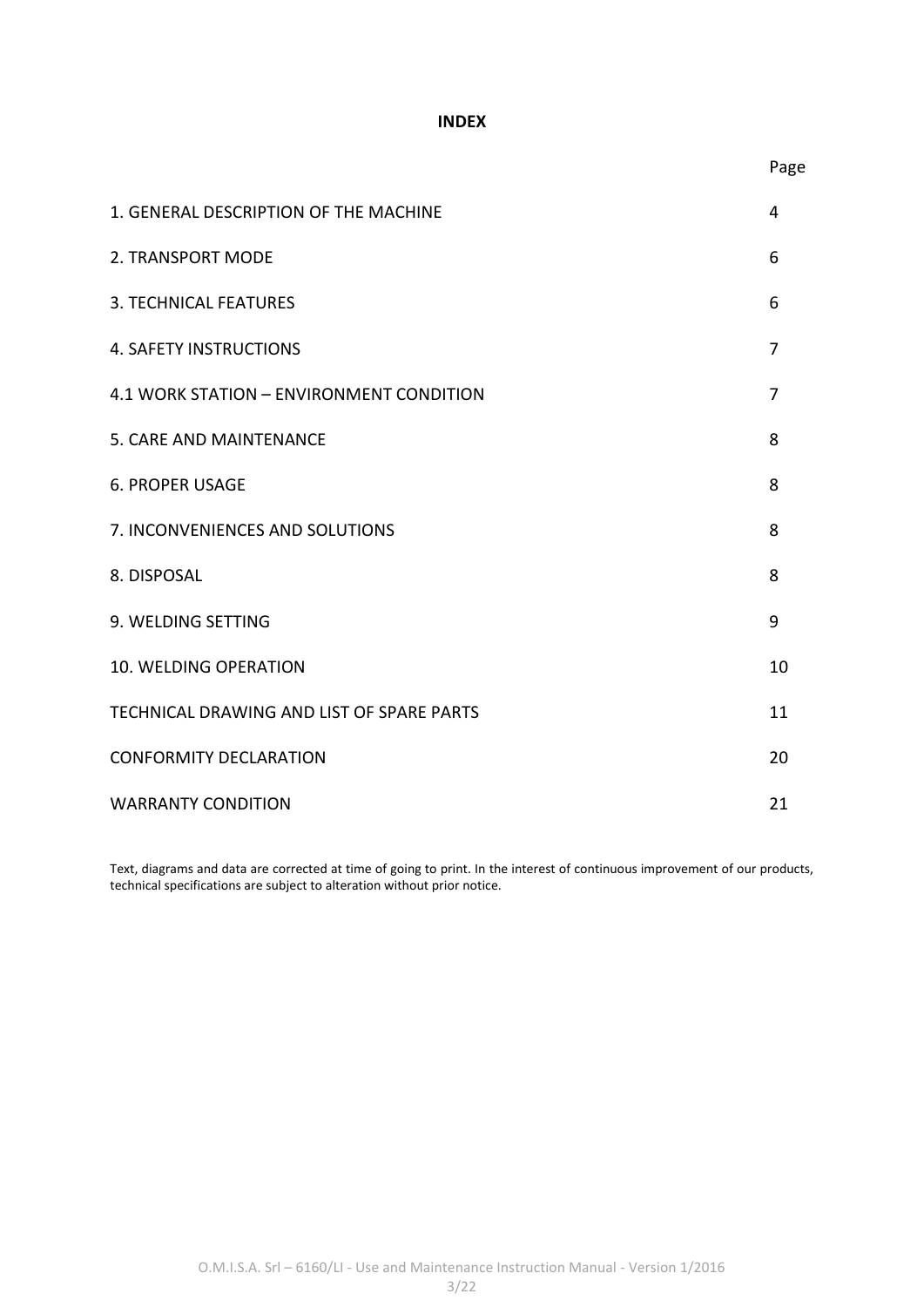#### **INDEX**

| 1. GENERAL DESCRIPTION OF THE MACHINE     | 4  |
|-------------------------------------------|----|
| 2. TRANSPORT MODE                         | 6  |
| <b>3. TECHNICAL FEATURES</b>              | 6  |
| <b>4. SAFETY INSTRUCTIONS</b>             | 7  |
| 4.1 WORK STATION - ENVIRONMENT CONDITION  | 7  |
| 5. CARE AND MAINTENANCE                   | 8  |
| <b>6. PROPER USAGE</b>                    | 8  |
| 7. INCONVENIENCES AND SOLUTIONS           | 8  |
| 8. DISPOSAL                               | 8  |
| 9. WELDING SETTING                        | 9  |
| <b>10. WELDING OPERATION</b>              | 10 |
| TECHNICAL DRAWING AND LIST OF SPARE PARTS | 11 |
| <b>CONFORMITY DECLARATION</b>             | 20 |
| <b>WARRANTY CONDITION</b>                 | 21 |

Text, diagrams and data are corrected at time of going to print. In the interest of continuous improvement of our products, technical specifications are subject to alteration without prior notice.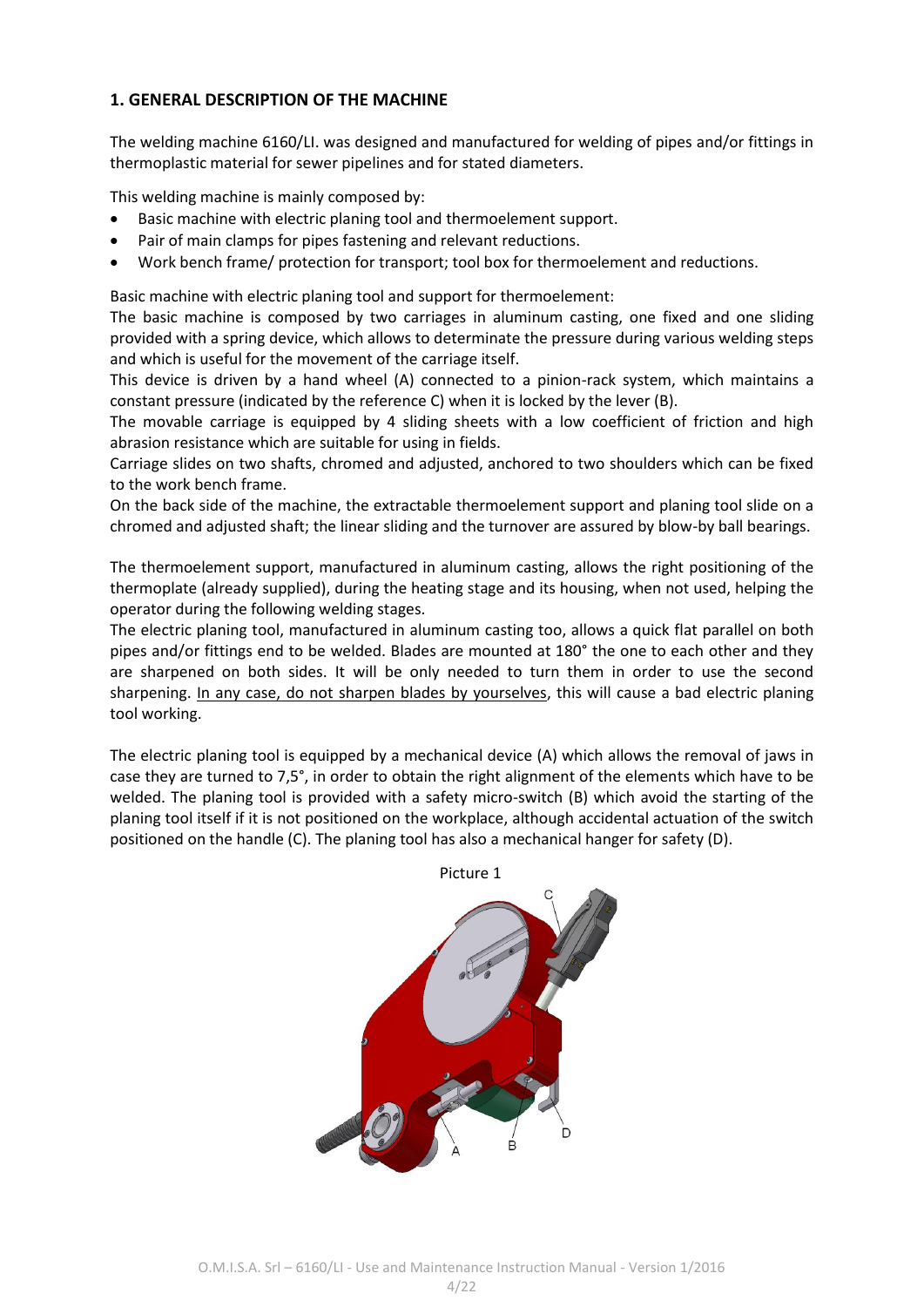#### **1. GENERAL DESCRIPTION OF THE MACHINE**

The welding machine 6160/LI. was designed and manufactured for welding of pipes and/or fittings in thermoplastic material for sewer pipelines and for stated diameters.

This welding machine is mainly composed by:

- Basic machine with electric planing tool and thermoelement support.
- Pair of main clamps for pipes fastening and relevant reductions.
- Work bench frame/ protection for transport; tool box for thermoelement and reductions.

Basic machine with electric planing tool and support for thermoelement:

The basic machine is composed by two carriages in aluminum casting, one fixed and one sliding provided with a spring device, which allows to determinate the pressure during various welding steps and which is useful for the movement of the carriage itself.

This device is driven by a hand wheel (A) connected to a pinion-rack system, which maintains a constant pressure (indicated by the reference C) when it is locked by the lever (B).

The movable carriage is equipped by 4 sliding sheets with a low coefficient of friction and high abrasion resistance which are suitable for using in fields.

Carriage slides on two shafts, chromed and adjusted, anchored to two shoulders which can be fixed to the work bench frame.

On the back side of the machine, the extractable thermoelement support and planing tool slide on a chromed and adjusted shaft; the linear sliding and the turnover are assured by blow-by ball bearings.

The thermoelement support, manufactured in aluminum casting, allows the right positioning of the thermoplate (already supplied), during the heating stage and its housing, when not used, helping the operator during the following welding stages.

The electric planing tool, manufactured in aluminum casting too, allows a quick flat parallel on both pipes and/or fittings end to be welded. Blades are mounted at 180° the one to each other and they are sharpened on both sides. It will be only needed to turn them in order to use the second sharpening. In any case, do not sharpen blades by yourselves, this will cause a bad electric planing tool working.

The electric planing tool is equipped by a mechanical device (A) which allows the removal of jaws in case they are turned to 7,5°, in order to obtain the right alignment of the elements which have to be welded. The planing tool is provided with a safety micro-switch (B) which avoid the starting of the planing tool itself if it is not positioned on the workplace, although accidental actuation of the switch positioned on the handle (C). The planing tool has also a mechanical hanger for safety (D).

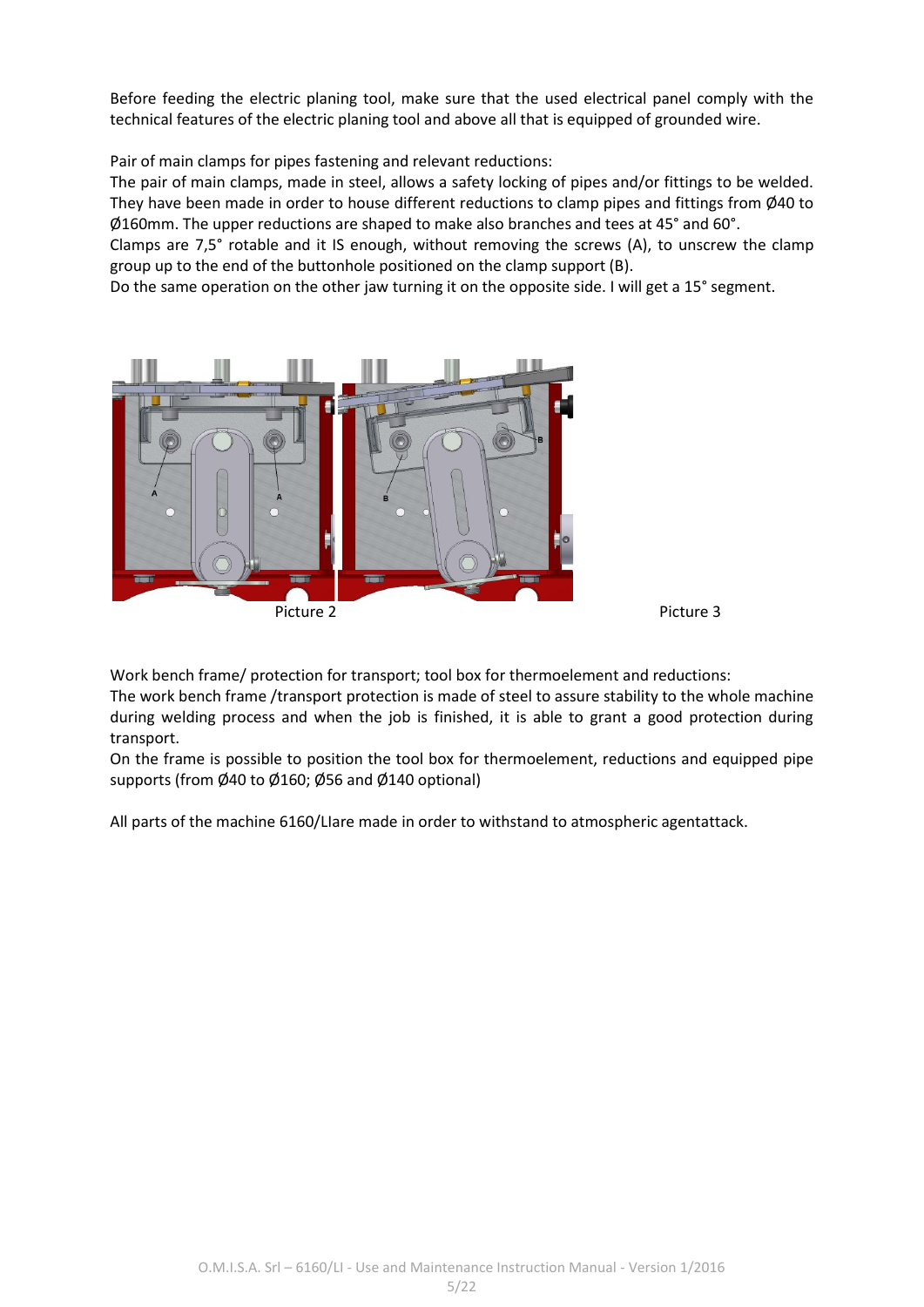Before feeding the electric planing tool, make sure that the used electrical panel comply with the technical features of the electric planing tool and above all that is equipped of grounded wire.

Pair of main clamps for pipes fastening and relevant reductions:

The pair of main clamps, made in steel, allows a safety locking of pipes and/or fittings to be welded. They have been made in order to house different reductions to clamp pipes and fittings from Ø40 to Ø160mm. The upper reductions are shaped to make also branches and tees at 45° and 60°.

Clamps are 7,5° rotable and it IS enough, without removing the screws (A), to unscrew the clamp group up to the end of the buttonhole positioned on the clamp support (B).

Do the same operation on the other jaw turning it on the opposite side. I will get a 15° segment.



Work bench frame/ protection for transport; tool box for thermoelement and reductions:

The work bench frame /transport protection is made of steel to assure stability to the whole machine during welding process and when the job is finished, it is able to grant a good protection during transport.

On the frame is possible to position the tool box for thermoelement, reductions and equipped pipe supports (from Ø40 to Ø160; Ø56 and Ø140 optional)

All parts of the machine 6160/LIare made in order to withstand to atmospheric agentattack.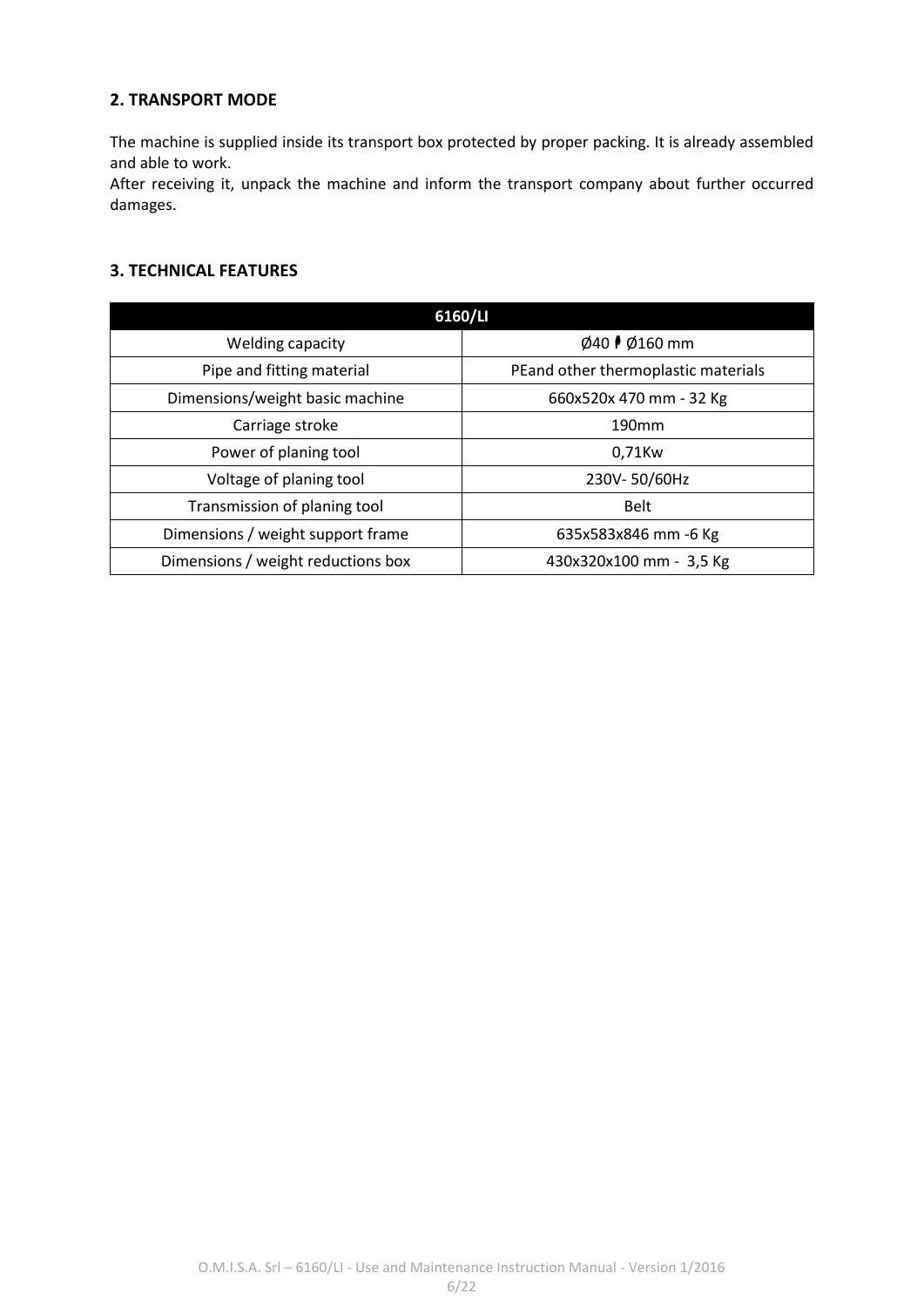#### **2. TRANSPORT MODE**

The machine is supplied inside its transport box protected by proper packing. It is already assembled and able to work.

After receiving it, unpack the machine and inform the transport company about further occurred damages.

#### **3. TECHNICAL FEATURES**

| 6160/LI                            |                                     |  |  |  |  |
|------------------------------------|-------------------------------------|--|--|--|--|
| Welding capacity                   | Ø40 <i>♦</i> Ø160 mm                |  |  |  |  |
| Pipe and fitting material          | PEand other thermoplastic materials |  |  |  |  |
| Dimensions/weight basic machine    | 660x520x 470 mm - 32 Kg             |  |  |  |  |
| Carriage stroke                    | 190 <sub>mm</sub>                   |  |  |  |  |
| Power of planing tool              | 0,71Kw                              |  |  |  |  |
| Voltage of planing tool            | 230V-50/60Hz                        |  |  |  |  |
| Transmission of planing tool       | <b>Belt</b>                         |  |  |  |  |
| Dimensions / weight support frame  | 635x583x846 mm -6 Kg                |  |  |  |  |
| Dimensions / weight reductions box | 430x320x100 mm - 3,5 Kg             |  |  |  |  |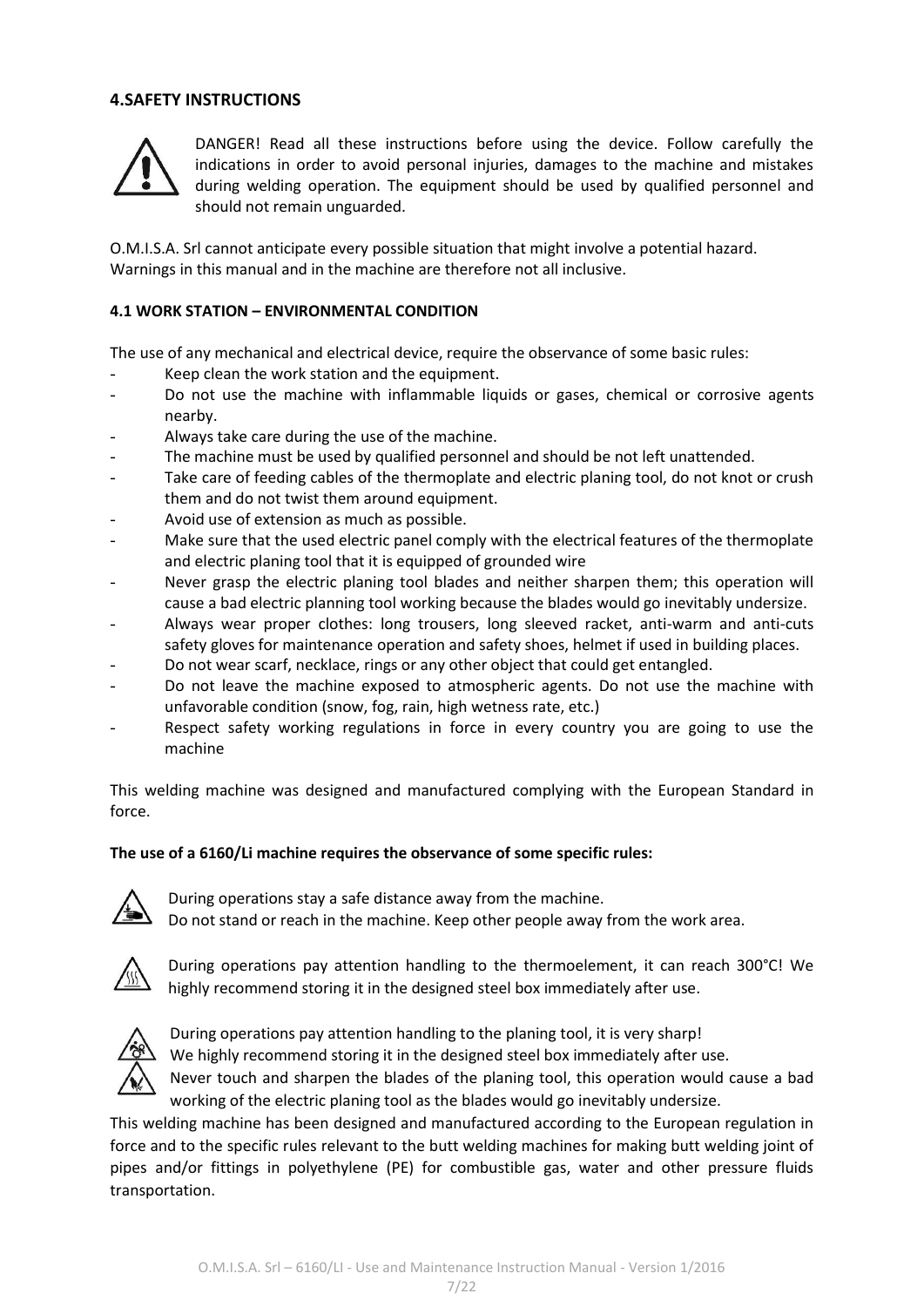#### **4.SAFETY INSTRUCTIONS**



DANGER! Read all these instructions before using the device. Follow carefully the indications in order to avoid personal injuries, damages to the machine and mistakes during welding operation. The equipment should be used by qualified personnel and should not remain unguarded.

O.M.I.S.A. Srl cannot anticipate every possible situation that might involve a potential hazard. Warnings in this manual and in the machine are therefore not all inclusive.

#### **4.1 WORK STATION – ENVIRONMENTAL CONDITION**

The use of any mechanical and electrical device, require the observance of some basic rules:

- Keep clean the work station and the equipment.
- Do not use the machine with inflammable liquids or gases, chemical or corrosive agents nearby.
- Always take care during the use of the machine.
- The machine must be used by qualified personnel and should be not left unattended.
- Take care of feeding cables of the thermoplate and electric planing tool, do not knot or crush them and do not twist them around equipment.
- Avoid use of extension as much as possible.
- Make sure that the used electric panel comply with the electrical features of the thermoplate and electric planing tool that it is equipped of grounded wire
- Never grasp the electric planing tool blades and neither sharpen them; this operation will cause a bad electric planning tool working because the blades would go inevitably undersize.
- Always wear proper clothes: long trousers, long sleeved racket, anti-warm and anti-cuts safety gloves for maintenance operation and safety shoes, helmet if used in building places.
- Do not wear scarf, necklace, rings or any other object that could get entangled.
- Do not leave the machine exposed to atmospheric agents. Do not use the machine with unfavorable condition (snow, fog, rain, high wetness rate, etc.)
- Respect safety working regulations in force in every country you are going to use the machine

This welding machine was designed and manufactured complying with the European Standard in force.

#### **The use of a 6160/Li machine requires the observance of some specific rules:**



During operations stay a safe distance away from the machine.

Do not stand or reach in the machine. Keep other people away from the work area.



During operations pay attention handling to the thermoelement, it can reach 300°C! We highly recommend storing it in the designed steel box immediately after use.



During operations pay attention handling to the planing tool, it is very sharp!

We highly recommend storing it in the designed steel box immediately after use.

Never touch and sharpen the blades of the planing tool, this operation would cause a bad working of the electric planing tool as the blades would go inevitably undersize.

This welding machine has been designed and manufactured according to the European regulation in force and to the specific rules relevant to the butt welding machines for making butt welding joint of pipes and/or fittings in polyethylene (PE) for combustible gas, water and other pressure fluids transportation.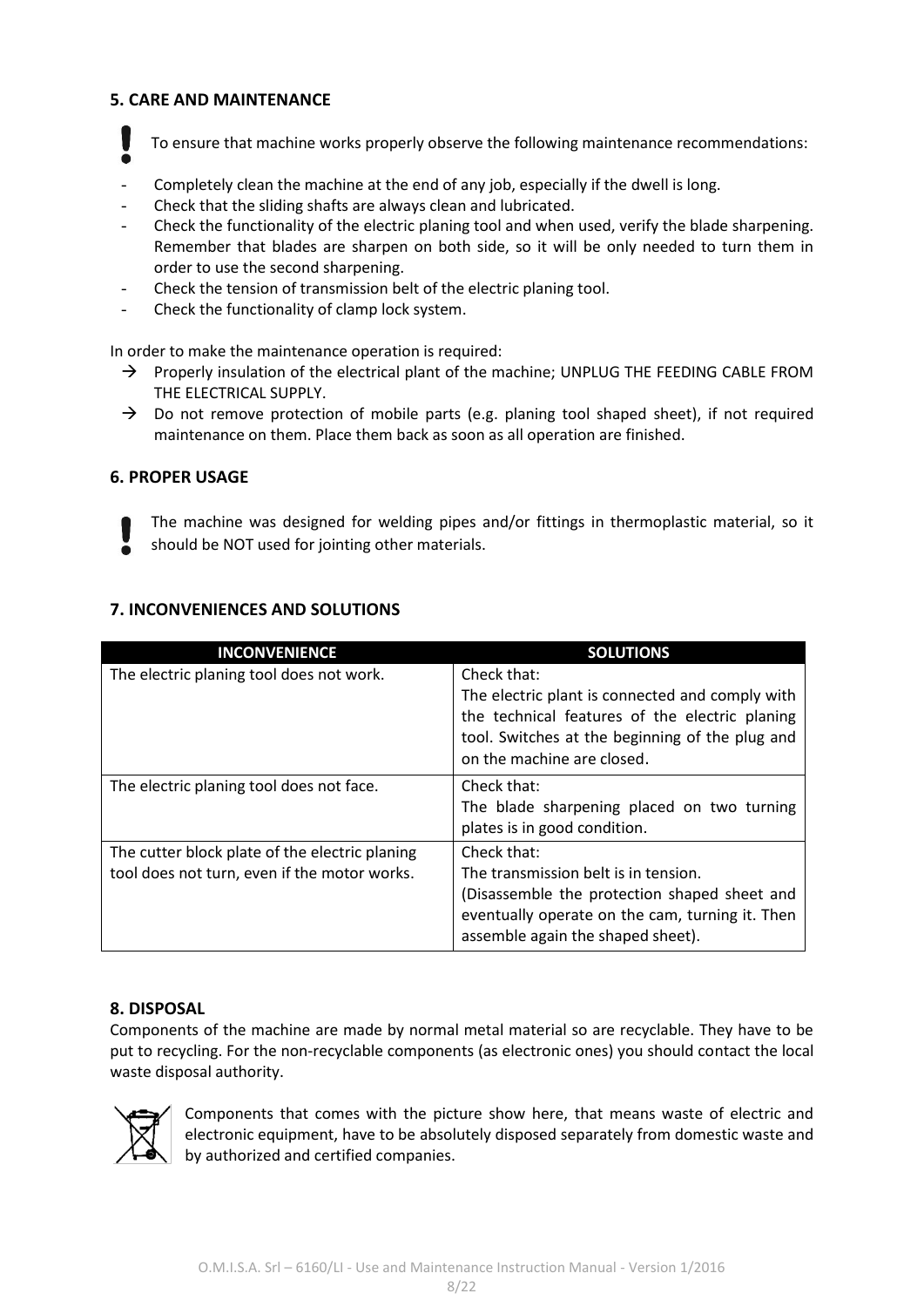#### **5. CARE AND MAINTENANCE**

To ensure that machine works properly observe the following maintenance recommendations:

- Completely clean the machine at the end of any job, especially if the dwell is long.
- Check that the sliding shafts are always clean and lubricated.
- Check the functionality of the electric planing tool and when used, verify the blade sharpening. Remember that blades are sharpen on both side, so it will be only needed to turn them in order to use the second sharpening.
- Check the tension of transmission belt of the electric planing tool.
- Check the functionality of clamp lock system.

In order to make the maintenance operation is required:

- $\rightarrow$  Properly insulation of the electrical plant of the machine; UNPLUG THE FEEDING CABLE FROM THE ELECTRICAL SUPPLY.
- $\rightarrow$  Do not remove protection of mobile parts (e.g. planing tool shaped sheet), if not required maintenance on them. Place them back as soon as all operation are finished.

#### **6. PROPER USAGE**

The machine was designed for welding pipes and/or fittings in thermoplastic material, so it should be NOT used for jointing other materials.

#### **7. INCONVENIENCES AND SOLUTIONS**

| <b>INCONVENIENCE</b>                                                                           | <b>SOLUTIONS</b>                                                                                                                                                                                  |
|------------------------------------------------------------------------------------------------|---------------------------------------------------------------------------------------------------------------------------------------------------------------------------------------------------|
| The electric planing tool does not work.                                                       | Check that:<br>The electric plant is connected and comply with<br>the technical features of the electric planing<br>tool. Switches at the beginning of the plug and<br>on the machine are closed. |
| The electric planing tool does not face.                                                       | Check that:<br>The blade sharpening placed on two turning<br>plates is in good condition.                                                                                                         |
| The cutter block plate of the electric planing<br>tool does not turn, even if the motor works. | Check that:<br>The transmission belt is in tension.<br>(Disassemble the protection shaped sheet and<br>eventually operate on the cam, turning it. Then<br>assemble again the shaped sheet).       |

#### **8. DISPOSAL**

Components of the machine are made by normal metal material so are recyclable. They have to be put to recycling. For the non-recyclable components (as electronic ones) you should contact the local waste disposal authority.



Components that comes with the picture show here, that means waste of electric and electronic equipment, have to be absolutely disposed separately from domestic waste and by authorized and certified companies.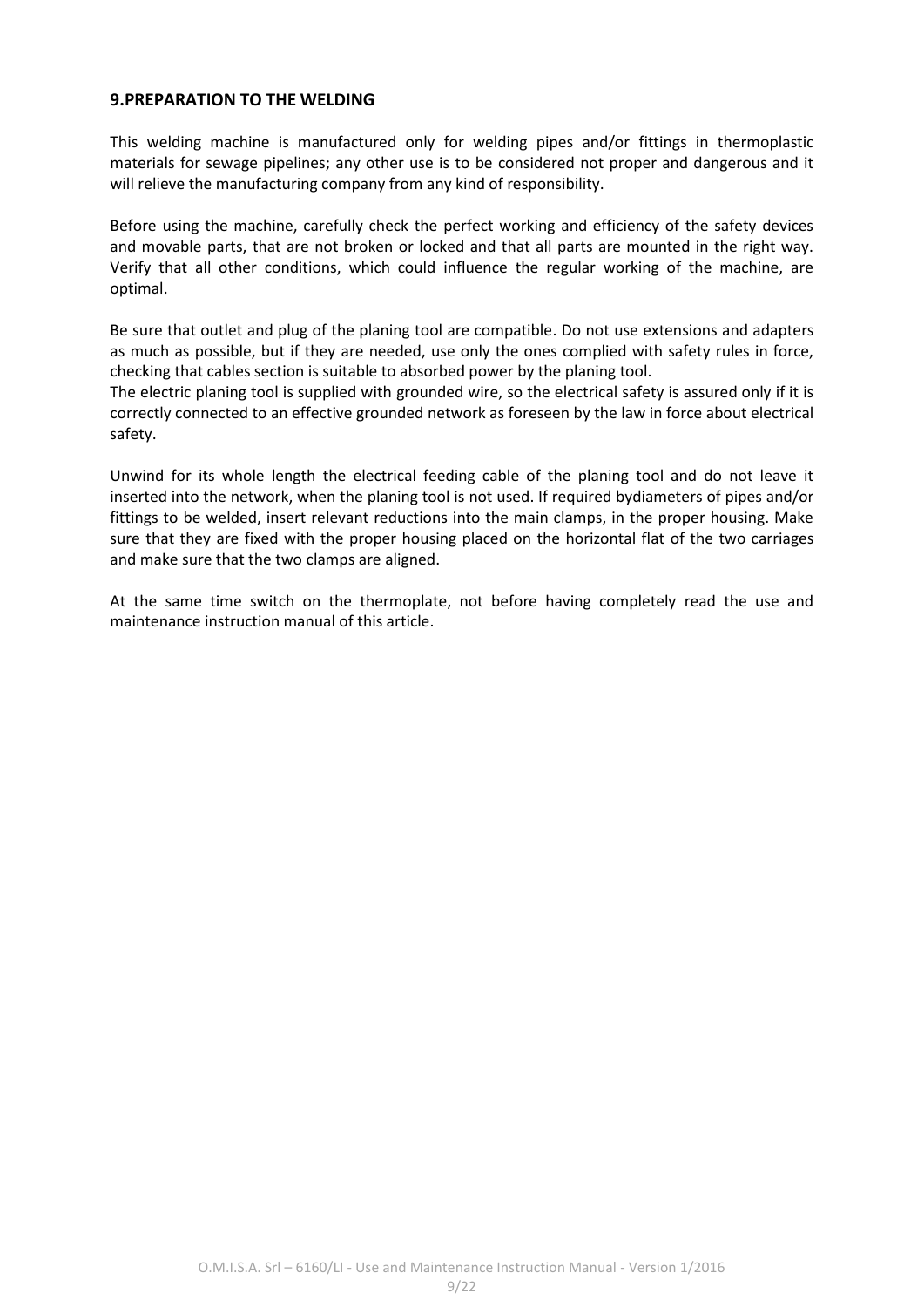#### **9.PREPARATION TO THE WELDING**

This welding machine is manufactured only for welding pipes and/or fittings in thermoplastic materials for sewage pipelines; any other use is to be considered not proper and dangerous and it will relieve the manufacturing company from any kind of responsibility.

Before using the machine, carefully check the perfect working and efficiency of the safety devices and movable parts, that are not broken or locked and that all parts are mounted in the right way. Verify that all other conditions, which could influence the regular working of the machine, are optimal.

Be sure that outlet and plug of the planing tool are compatible. Do not use extensions and adapters as much as possible, but if they are needed, use only the ones complied with safety rules in force, checking that cables section is suitable to absorbed power by the planing tool.

The electric planing tool is supplied with grounded wire, so the electrical safety is assured only if it is correctly connected to an effective grounded network as foreseen by the law in force about electrical safety.

Unwind for its whole length the electrical feeding cable of the planing tool and do not leave it inserted into the network, when the planing tool is not used. If required bydiameters of pipes and/or fittings to be welded, insert relevant reductions into the main clamps, in the proper housing. Make sure that they are fixed with the proper housing placed on the horizontal flat of the two carriages and make sure that the two clamps are aligned.

At the same time switch on the thermoplate, not before having completely read the use and maintenance instruction manual of this article.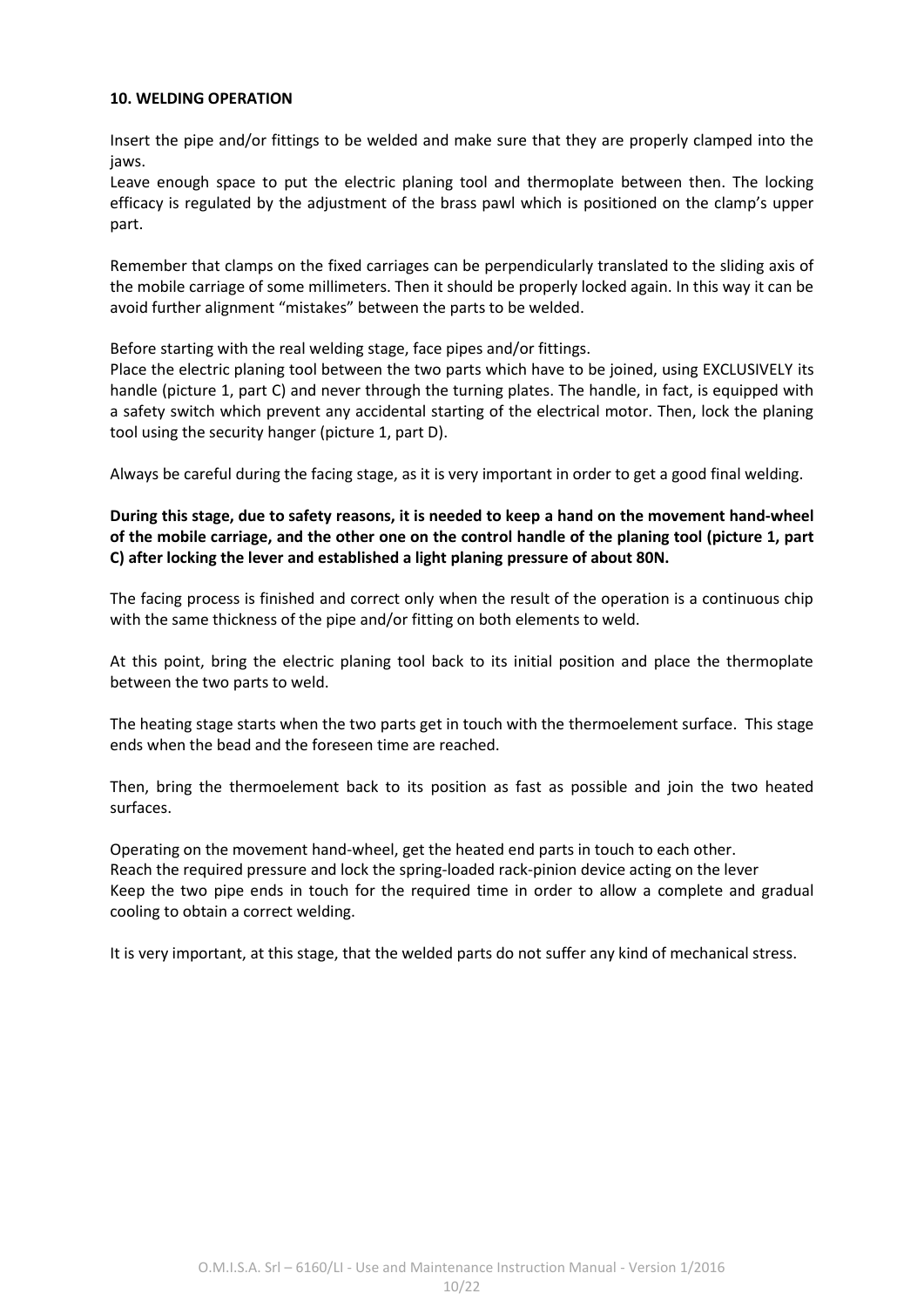#### **10. WELDING OPERATION**

Insert the pipe and/or fittings to be welded and make sure that they are properly clamped into the jaws.

Leave enough space to put the electric planing tool and thermoplate between then. The locking efficacy is regulated by the adjustment of the brass pawl which is positioned on the clamp's upper part.

Remember that clamps on the fixed carriages can be perpendicularly translated to the sliding axis of the mobile carriage of some millimeters. Then it should be properly locked again. In this way it can be avoid further alignment "mistakes" between the parts to be welded.

Before starting with the real welding stage, face pipes and/or fittings.

Place the electric planing tool between the two parts which have to be joined, using EXCLUSIVELY its handle (picture 1, part C) and never through the turning plates. The handle, in fact, is equipped with a safety switch which prevent any accidental starting of the electrical motor. Then, lock the planing tool using the security hanger (picture 1, part D).

Always be careful during the facing stage, as it is very important in order to get a good final welding.

**During this stage, due to safety reasons, it is needed to keep a hand on the movement hand-wheel of the mobile carriage, and the other one on the control handle of the planing tool (picture 1, part C) after locking the lever and established a light planing pressure of about 80N.**

The facing process is finished and correct only when the result of the operation is a continuous chip with the same thickness of the pipe and/or fitting on both elements to weld.

At this point, bring the electric planing tool back to its initial position and place the thermoplate between the two parts to weld.

The heating stage starts when the two parts get in touch with the thermoelement surface. This stage ends when the bead and the foreseen time are reached.

Then, bring the thermoelement back to its position as fast as possible and join the two heated surfaces.

Operating on the movement hand-wheel, get the heated end parts in touch to each other. Reach the required pressure and lock the spring-loaded rack-pinion device acting on the lever Keep the two pipe ends in touch for the required time in order to allow a complete and gradual cooling to obtain a correct welding.

It is very important, at this stage, that the welded parts do not suffer any kind of mechanical stress.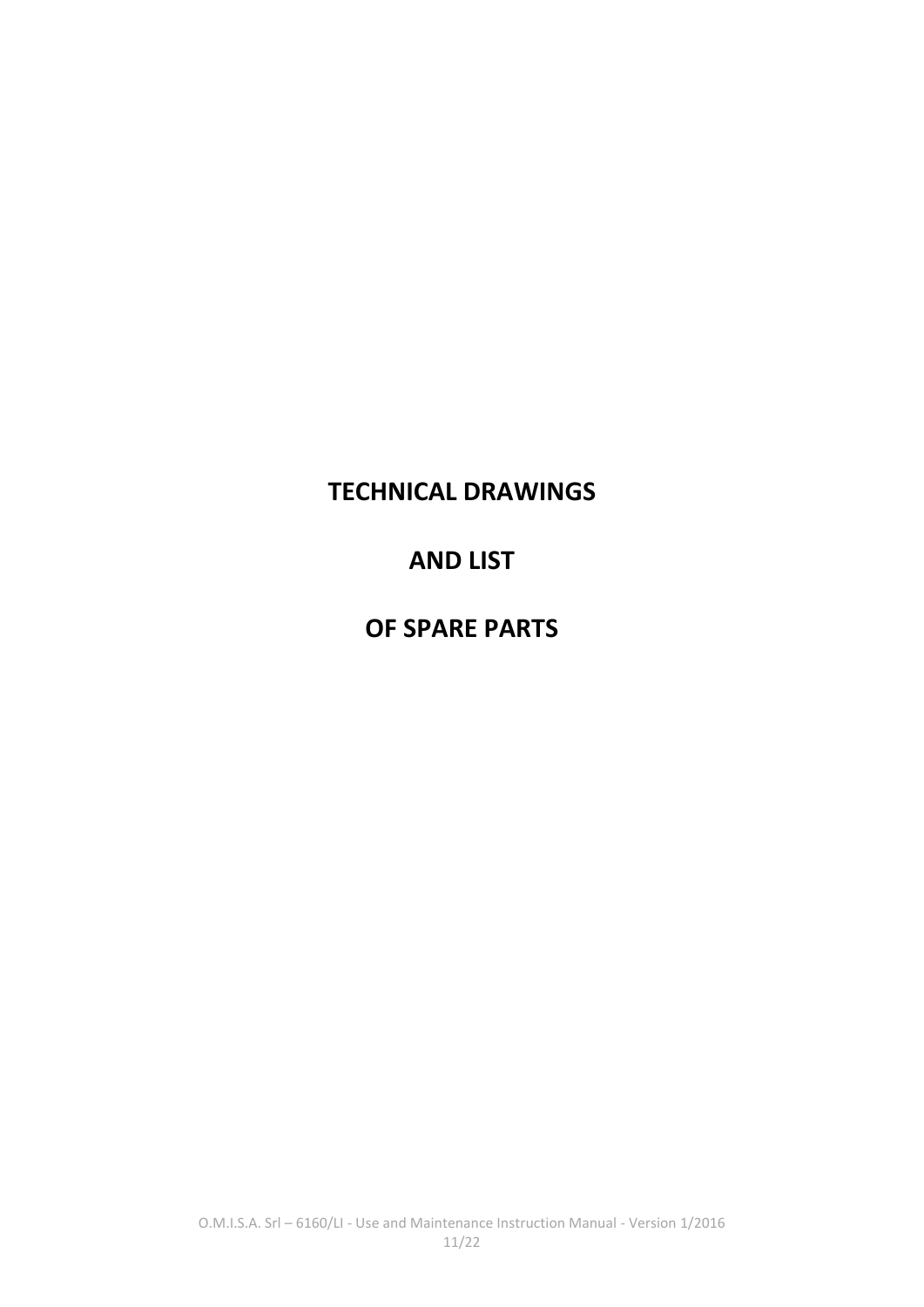# **TECHNICAL DRAWINGS**

# **AND LIST**

# **OF SPARE PARTS**

O.M.I.S.A. Srl – 6160/LI - Use and Maintenance Instruction Manual - Version 1/2016 11/22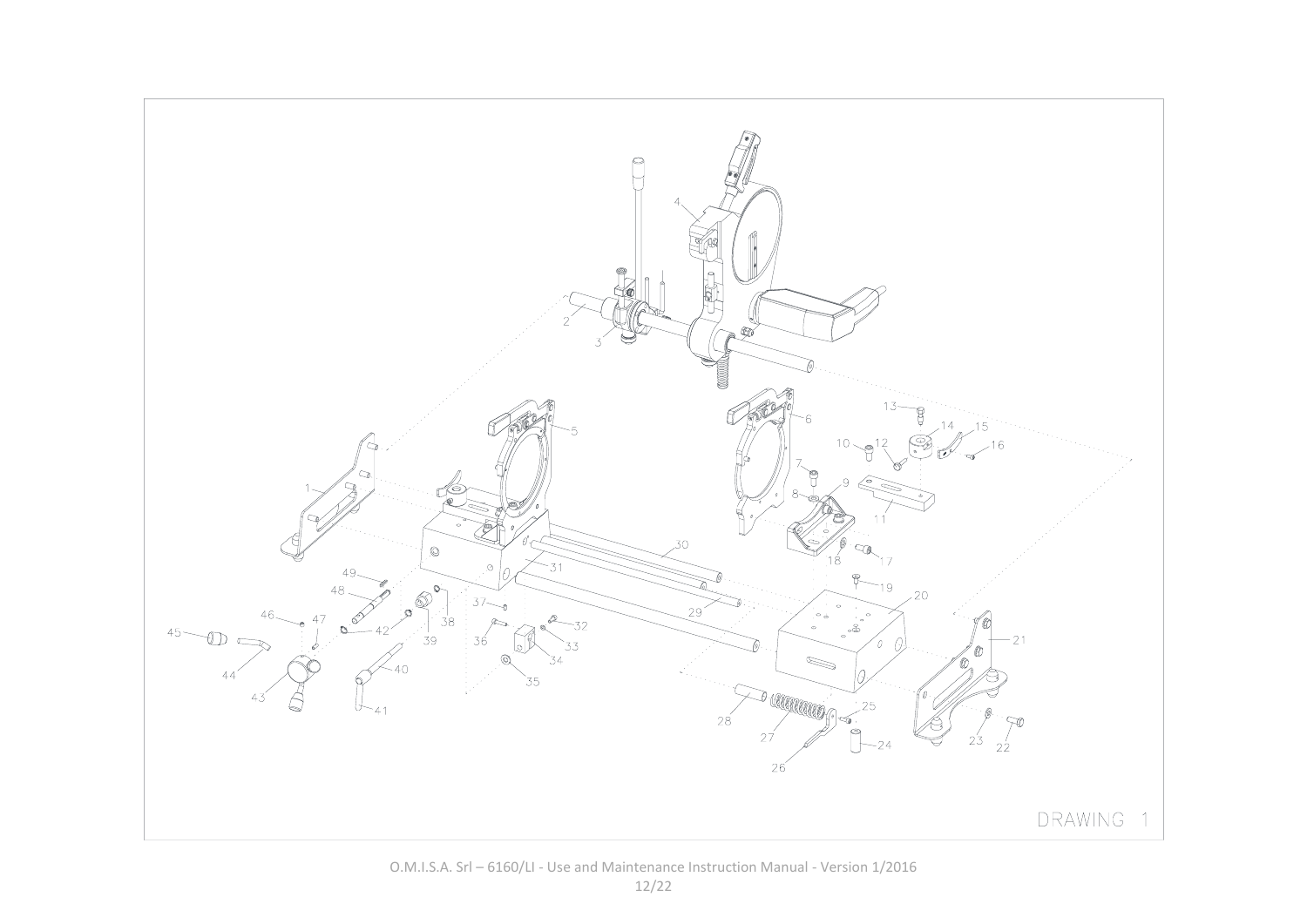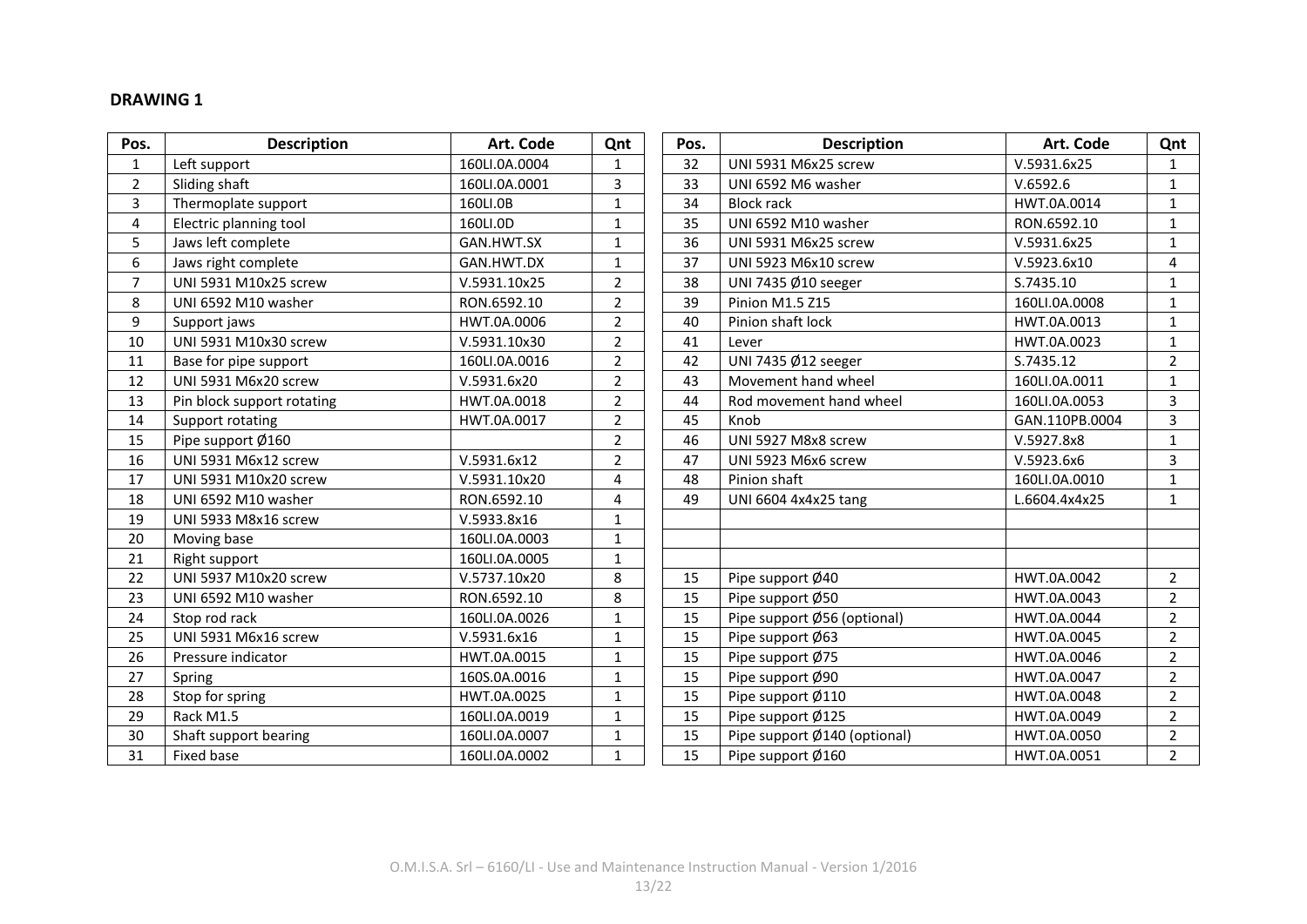#### **DRAWING 1**

| Pos.           | <b>Description</b>          | Art. Code     | Qnt            | Pos. | <b>Description</b>           | Art. Code      | Qnt            |
|----------------|-----------------------------|---------------|----------------|------|------------------------------|----------------|----------------|
| $\mathbf{1}$   | Left support                | 160LI.0A.0004 | $\mathbf{1}$   | 32   | UNI 5931 M6x25 screw         | V.5931.6x25    | 1              |
| $\overline{2}$ | Sliding shaft               | 160LI.0A.0001 | 3              | 33   | UNI 6592 M6 washer           | V.6592.6       | $\mathbf{1}$   |
| 3              | Thermoplate support         | 160LI.0B      | $\mathbf{1}$   | 34   | <b>Block rack</b>            | HWT.0A.0014    | $\mathbf{1}$   |
| 4              | Electric planning tool      | 160LI.0D      | $\mathbf{1}$   | 35   | UNI 6592 M10 washer          | RON.6592.10    | 1              |
| 5              | Jaws left complete          | GAN.HWT.SX    | 1              | 36   | UNI 5931 M6x25 screw         | V.5931.6x25    | $\mathbf{1}$   |
| 6              | Jaws right complete         | GAN.HWT.DX    | $\mathbf{1}$   | 37   | UNI 5923 M6x10 screw         | V.5923.6x10    | 4              |
| $\overline{7}$ | UNI 5931 M10x25 screw       | V.5931.10x25  | $\overline{2}$ | 38   | UNI 7435 Ø10 seeger          | S.7435.10      | 1              |
| 8              | UNI 6592 M10 washer         | RON.6592.10   | $\overline{2}$ | 39   | <b>Pinion M1.5 Z15</b>       | 160LI.0A.0008  | $\mathbf{1}$   |
| 9              | Support jaws                | HWT.0A.0006   | $\overline{2}$ | 40   | Pinion shaft lock            | HWT.0A.0013    | $\mathbf{1}$   |
| 10             | UNI 5931 M10x30 screw       | V.5931.10x30  | $\overline{2}$ | 41   | Lever                        | HWT.0A.0023    | 1              |
| 11             | Base for pipe support       | 160LI.0A.0016 | $\overline{2}$ | 42   | UNI 7435 Ø12 seeger          | S.7435.12      | $\overline{2}$ |
| 12             | UNI 5931 M6x20 screw        | V.5931.6x20   | $\overline{2}$ | 43   | Movement hand wheel          | 160LI.0A.0011  | $\mathbf{1}$   |
| 13             | Pin block support rotating  | HWT.0A.0018   | $\overline{2}$ | 44   | Rod movement hand wheel      | 160LI.0A.0053  | $\overline{3}$ |
| 14             | Support rotating            | HWT.0A.0017   | $\overline{2}$ | 45   | Knob                         | GAN.110PB.0004 | 3              |
| 15             | Pipe support Ø160           |               | $\overline{2}$ | 46   | UNI 5927 M8x8 screw          | V.5927.8x8     | $\mathbf{1}$   |
| 16             | UNI 5931 M6x12 screw        | V.5931.6x12   | $\overline{2}$ | 47   | UNI 5923 M6x6 screw          | V.5923.6x6     | 3              |
| 17             | UNI 5931 M10x20 screw       | V.5931.10x20  | 4              | 48   | Pinion shaft                 | 160LI.0A.0010  | $\mathbf{1}$   |
| 18             | UNI 6592 M10 washer         | RON.6592.10   | 4              | 49   | UNI 6604 4x4x25 tang         | L.6604.4x4x25  | $\mathbf{1}$   |
| 19             | <b>UNI 5933 M8x16 screw</b> | V.5933.8x16   | 1              |      |                              |                |                |
| 20             | Moving base                 | 160LI.0A.0003 | $\mathbf{1}$   |      |                              |                |                |
| 21             | Right support               | 160LI.0A.0005 | $\mathbf{1}$   |      |                              |                |                |
| 22             | UNI 5937 M10x20 screw       | V.5737.10x20  | 8              | 15   | Pipe support Ø40             | HWT.0A.0042    | $\overline{2}$ |
| 23             | UNI 6592 M10 washer         | RON.6592.10   | 8              | 15   | Pipe support Ø50             | HWT.0A.0043    | $\overline{2}$ |
| 24             | Stop rod rack               | 160LI.0A.0026 | $\mathbf{1}$   | 15   | Pipe support Ø56 (optional)  | HWT.0A.0044    | $\overline{2}$ |
| 25             | UNI 5931 M6x16 screw        | V.5931.6x16   | $\mathbf{1}$   | 15   | Pipe support Ø63             | HWT.0A.0045    | $\overline{2}$ |
| 26             | Pressure indicator          | HWT.0A.0015   | $\mathbf{1}$   | 15   | Pipe support Ø75             | HWT.0A.0046    | $\overline{2}$ |
| 27             | Spring                      | 160S.0A.0016  | $\mathbf{1}$   | 15   | Pipe support Ø90             | HWT.0A.0047    | $\overline{2}$ |
| 28             | Stop for spring             | HWT.0A.0025   | $\mathbf{1}$   | 15   | Pipe support Ø110            | HWT.0A.0048    | $\overline{2}$ |
| 29             | Rack M1.5                   | 160LI.0A.0019 | $\mathbf{1}$   | 15   | Pipe support Ø125            | HWT.0A.0049    | $\overline{2}$ |
| 30             | Shaft support bearing       | 160LI.0A.0007 | $\mathbf{1}$   | 15   | Pipe support Ø140 (optional) | HWT.0A.0050    | $\overline{2}$ |
| 31             | Fixed base                  | 160LI.0A.0002 | $\mathbf{1}$   | 15   | Pipe support Ø160            | HWT.0A.0051    | $\overline{2}$ |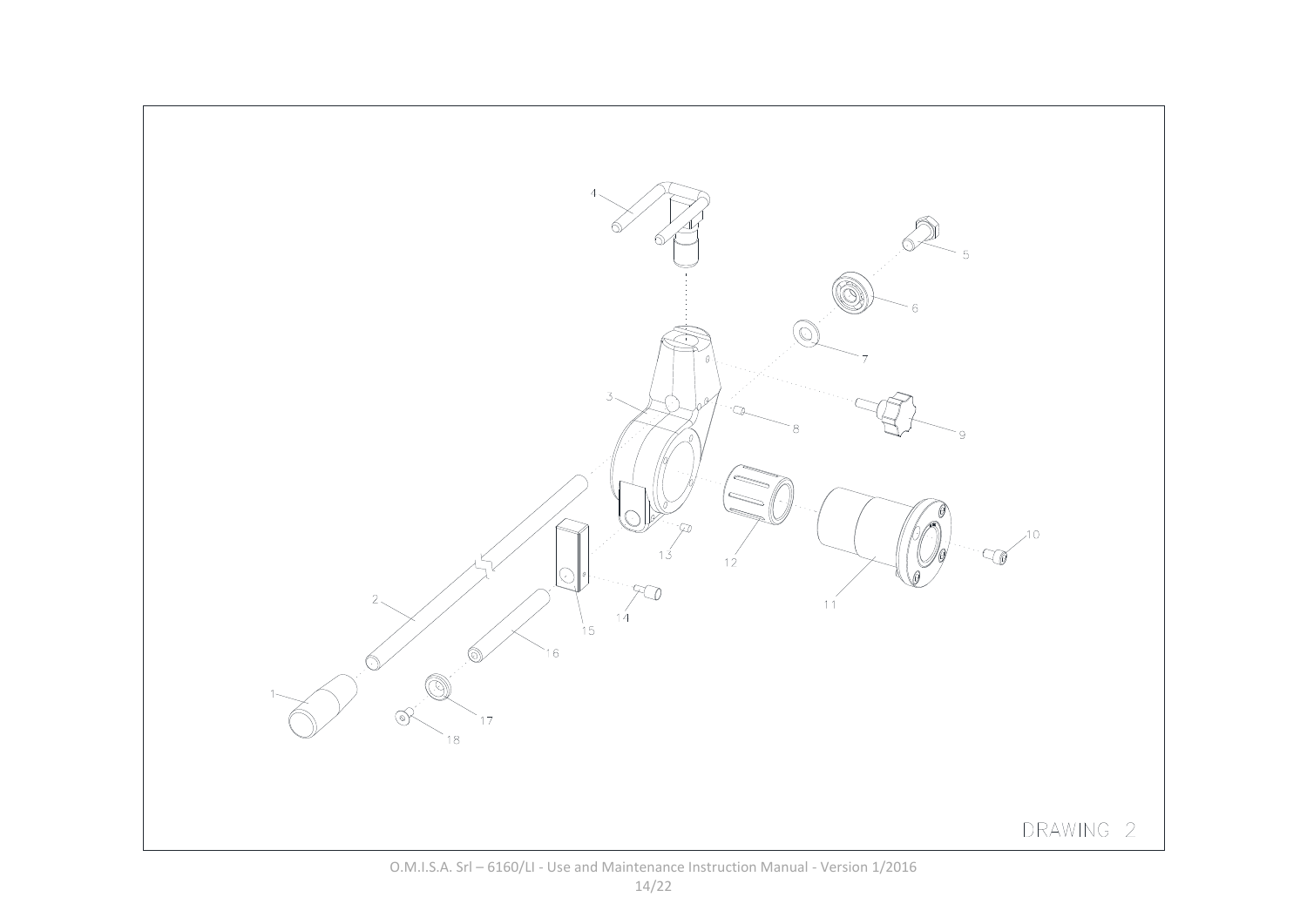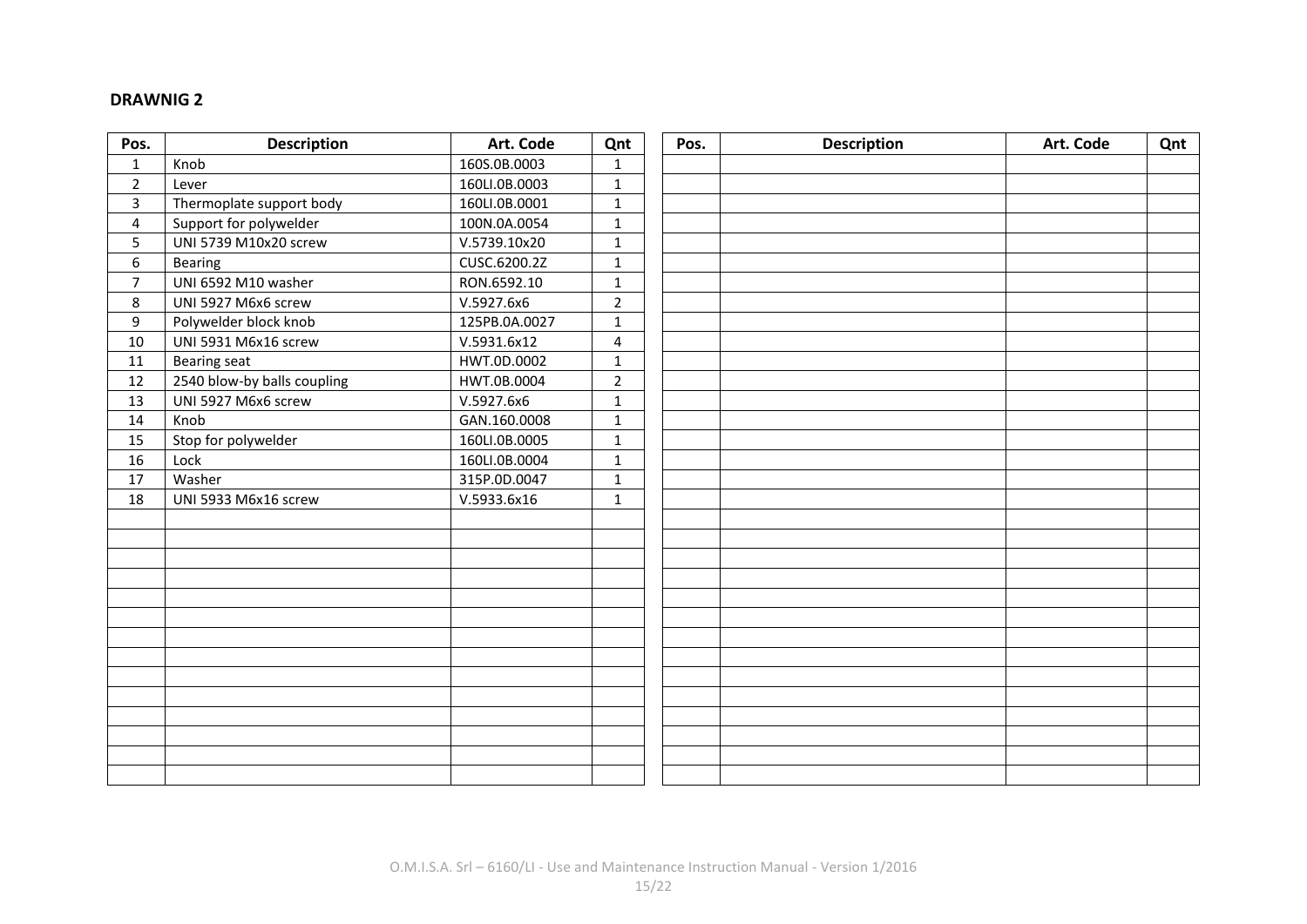#### **DRAWNIG 2**

| Pos.           | <b>Description</b>          | Art. Code     | Qnt            | Pos. | <b>Description</b> | Art. Code | Qnt |
|----------------|-----------------------------|---------------|----------------|------|--------------------|-----------|-----|
| $\mathbf{1}$   | Knob                        | 160S.0B.0003  | $\mathbf{1}$   |      |                    |           |     |
| $\overline{2}$ | Lever                       | 160LI.0B.0003 | $\mathbf{1}$   |      |                    |           |     |
| 3              | Thermoplate support body    | 160LI.0B.0001 | $\mathbf{1}$   |      |                    |           |     |
| 4              | Support for polywelder      | 100N.0A.0054  | $\mathbf{1}$   |      |                    |           |     |
| 5              | UNI 5739 M10x20 screw       | V.5739.10x20  | $\mathbf{1}$   |      |                    |           |     |
| 6              | Bearing                     | CUSC.6200.2Z  | $\mathbf{1}$   |      |                    |           |     |
| $\overline{7}$ | UNI 6592 M10 washer         | RON.6592.10   | $\mathbf{1}$   |      |                    |           |     |
| 8              | UNI 5927 M6x6 screw         | V.5927.6x6    | $\overline{2}$ |      |                    |           |     |
| 9              | Polywelder block knob       | 125PB.0A.0027 | $\mathbf{1}$   |      |                    |           |     |
| 10             | UNI 5931 M6x16 screw        | V.5931.6x12   | 4              |      |                    |           |     |
| 11             | <b>Bearing seat</b>         | HWT.0D.0002   | $\mathbf{1}$   |      |                    |           |     |
| 12             | 2540 blow-by balls coupling | HWT.0B.0004   | $\overline{2}$ |      |                    |           |     |
| 13             | UNI 5927 M6x6 screw         | V.5927.6x6    | $\mathbf{1}$   |      |                    |           |     |
| 14             | Knob                        | GAN.160.0008  | $\mathbf{1}$   |      |                    |           |     |
| 15             | Stop for polywelder         | 160LI.0B.0005 | $\mathbf{1}$   |      |                    |           |     |
| 16             | Lock                        | 160LI.0B.0004 | $\mathbf{1}$   |      |                    |           |     |
| 17             | Washer                      | 315P.0D.0047  | $\mathbf{1}$   |      |                    |           |     |
| 18             | UNI 5933 M6x16 screw        | V.5933.6x16   | $\mathbf{1}$   |      |                    |           |     |
|                |                             |               |                |      |                    |           |     |
|                |                             |               |                |      |                    |           |     |
|                |                             |               |                |      |                    |           |     |
|                |                             |               |                |      |                    |           |     |
|                |                             |               |                |      |                    |           |     |
|                |                             |               |                |      |                    |           |     |
|                |                             |               |                |      |                    |           |     |
|                |                             |               |                |      |                    |           |     |
|                |                             |               |                |      |                    |           |     |
|                |                             |               |                |      |                    |           |     |
|                |                             |               |                |      |                    |           |     |
|                |                             |               |                |      |                    |           |     |
|                |                             |               |                |      |                    |           |     |
|                |                             |               |                |      |                    |           |     |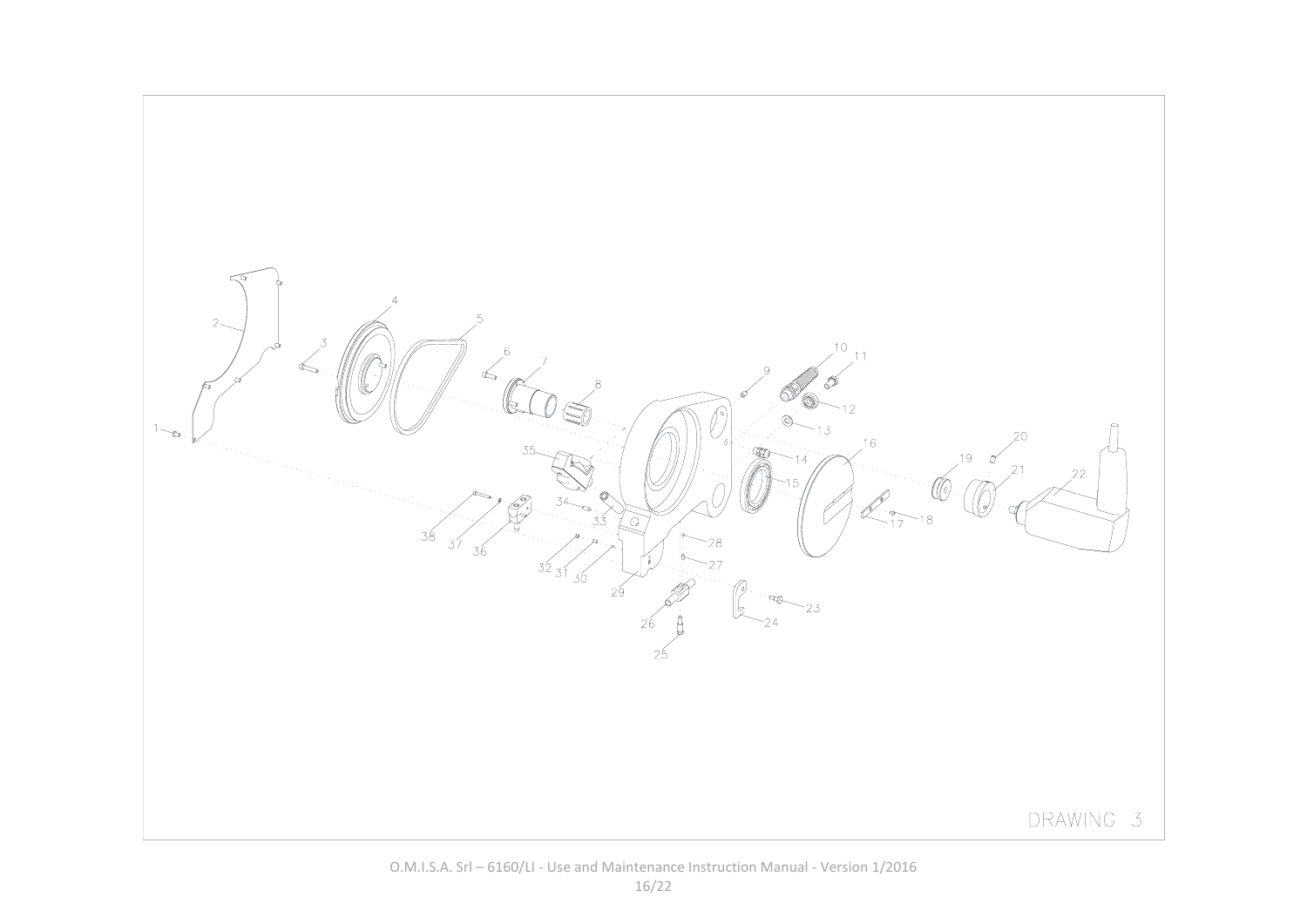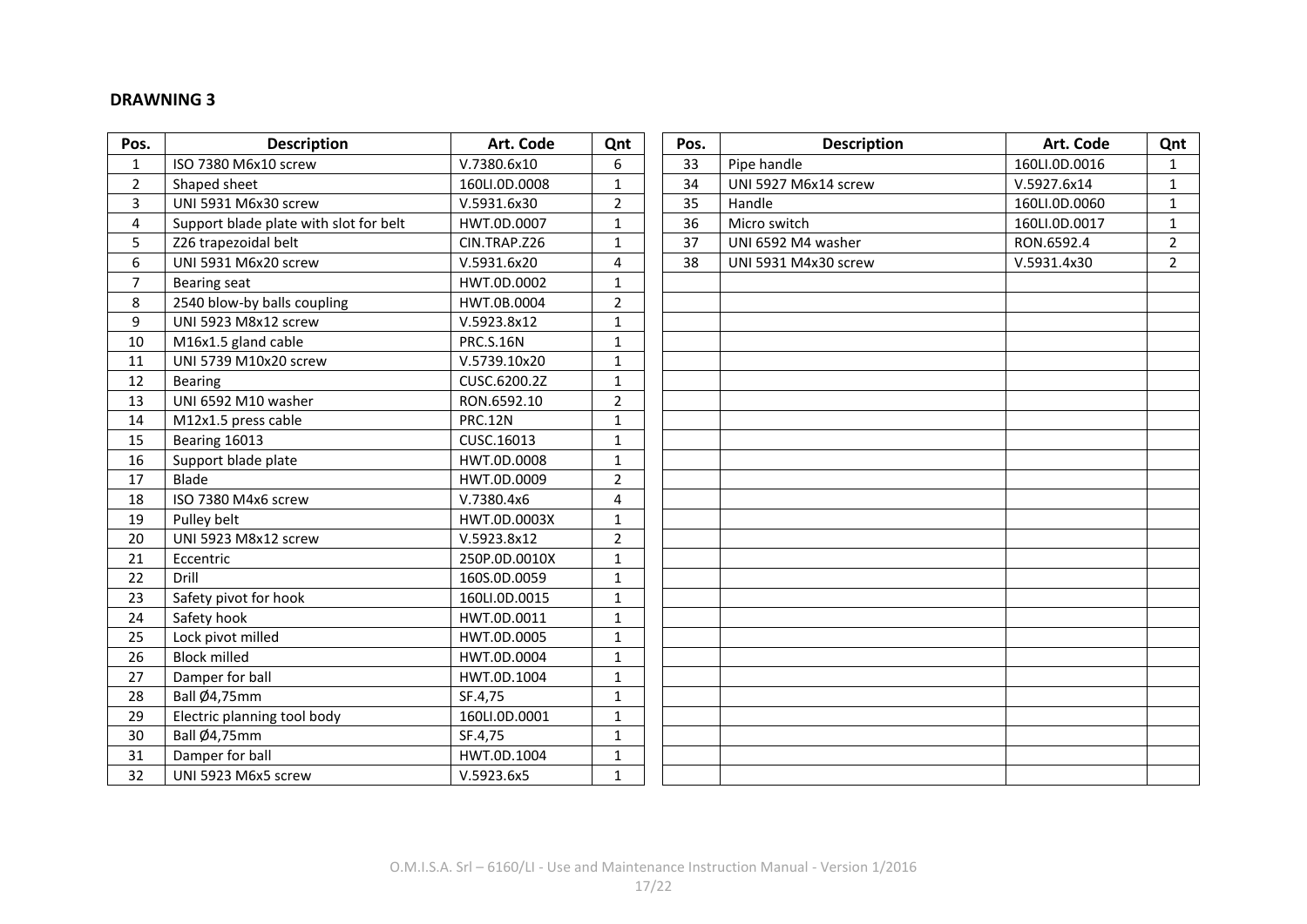#### **DRAWNING 3**

| Pos.           | <b>Description</b>                     | Art. Code        | Qnt            | Pos. | <b>Description</b>   | Art. Code     | Qnt            |
|----------------|----------------------------------------|------------------|----------------|------|----------------------|---------------|----------------|
| $\mathbf{1}$   | ISO 7380 M6x10 screw                   | V.7380.6x10      | 6              | 33   | Pipe handle          | 160LI.0D.0016 | $\mathbf{1}$   |
| $\overline{2}$ | Shaped sheet                           | 160LI.0D.0008    | $\mathbf{1}$   | 34   | UNI 5927 M6x14 screw | V.5927.6x14   | $\mathbf{1}$   |
| 3              | UNI 5931 M6x30 screw                   | V.5931.6x30      | $\overline{2}$ | 35   | Handle               | 160LI.0D.0060 | $\mathbf{1}$   |
| 4              | Support blade plate with slot for belt | HWT.0D.0007      | $\mathbf{1}$   | 36   | Micro switch         | 160LI.0D.0017 | $\mathbf{1}$   |
| 5              | Z26 trapezoidal belt                   | CIN.TRAP.Z26     | $\mathbf{1}$   | 37   | UNI 6592 M4 washer   | RON.6592.4    | $\overline{2}$ |
| 6              | UNI 5931 M6x20 screw                   | V.5931.6x20      | 4              | 38   | UNI 5931 M4x30 screw | V.5931.4x30   | $\overline{2}$ |
| $\overline{7}$ | Bearing seat                           | HWT.0D.0002      | $\mathbf{1}$   |      |                      |               |                |
| 8              | 2540 blow-by balls coupling            | HWT.0B.0004      | $\overline{2}$ |      |                      |               |                |
| 9              | <b>UNI 5923 M8x12 screw</b>            | V.5923.8x12      | $\mathbf{1}$   |      |                      |               |                |
| 10             | M16x1.5 gland cable                    | <b>PRC.S.16N</b> | $\mathbf{1}$   |      |                      |               |                |
| 11             | UNI 5739 M10x20 screw                  | V.5739.10x20     | $\mathbf{1}$   |      |                      |               |                |
| 12             | <b>Bearing</b>                         | CUSC.6200.2Z     | $\mathbf{1}$   |      |                      |               |                |
| 13             | UNI 6592 M10 washer                    | RON.6592.10      | $\overline{2}$ |      |                      |               |                |
| 14             | M12x1.5 press cable                    | <b>PRC.12N</b>   | $\mathbf{1}$   |      |                      |               |                |
| 15             | Bearing 16013                          | CUSC.16013       | $\mathbf{1}$   |      |                      |               |                |
| 16             | Support blade plate                    | HWT.0D.0008      | $\mathbf{1}$   |      |                      |               |                |
| 17             | <b>Blade</b>                           | HWT.0D.0009      | $\overline{2}$ |      |                      |               |                |
| 18             | ISO 7380 M4x6 screw                    | V.7380.4x6       | 4              |      |                      |               |                |
| 19             | Pulley belt                            | HWT.0D.0003X     | $\mathbf{1}$   |      |                      |               |                |
| 20             | <b>UNI 5923 M8x12 screw</b>            | V.5923.8x12      | $\overline{2}$ |      |                      |               |                |
| 21             | Eccentric                              | 250P.0D.0010X    | $\mathbf{1}$   |      |                      |               |                |
| 22             | Drill                                  | 160S.OD.0059     | $\mathbf{1}$   |      |                      |               |                |
| 23             | Safety pivot for hook                  | 160LI.0D.0015    | $\mathbf{1}$   |      |                      |               |                |
| 24             | Safety hook                            | HWT.0D.0011      | $\mathbf{1}$   |      |                      |               |                |
| 25             | Lock pivot milled                      | HWT.0D.0005      | $\mathbf{1}$   |      |                      |               |                |
| 26             | <b>Block milled</b>                    | HWT.0D.0004      | $\mathbf{1}$   |      |                      |               |                |
| 27             | Damper for ball                        | HWT.0D.1004      | $\mathbf{1}$   |      |                      |               |                |
| 28             | <b>Ball Ø4,75mm</b>                    | SF.4,75          | $\mathbf{1}$   |      |                      |               |                |
| 29             | Electric planning tool body            | 160LI.0D.0001    | $\mathbf{1}$   |      |                      |               |                |
| 30             | Ball Ø4,75mm                           | SF.4,75          | $\mathbf{1}$   |      |                      |               |                |
| 31             | Damper for ball                        | HWT.0D.1004      | $\mathbf{1}$   |      |                      |               |                |
| 32             | UNI 5923 M6x5 screw                    | V.5923.6x5       | $\mathbf{1}$   |      |                      |               |                |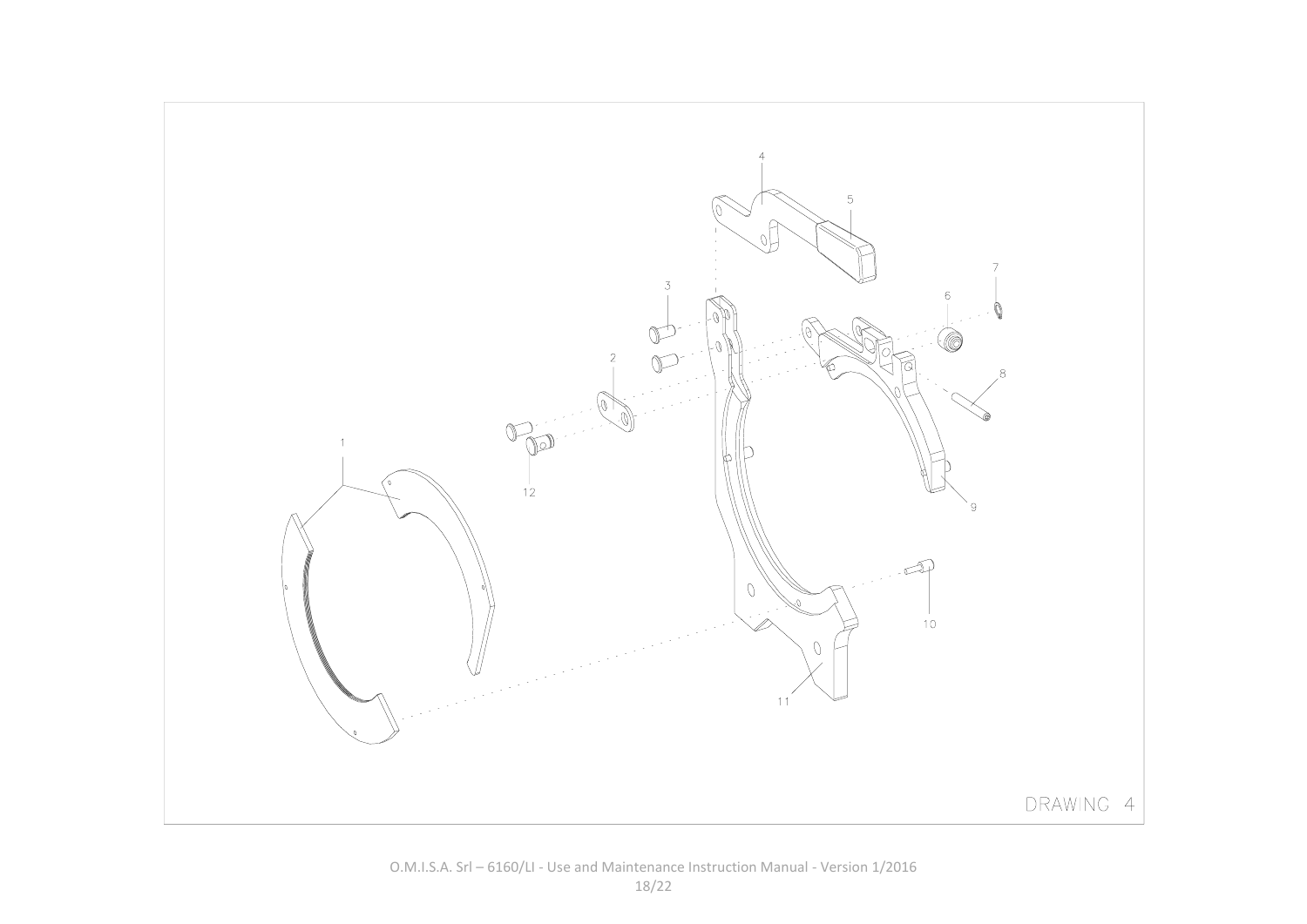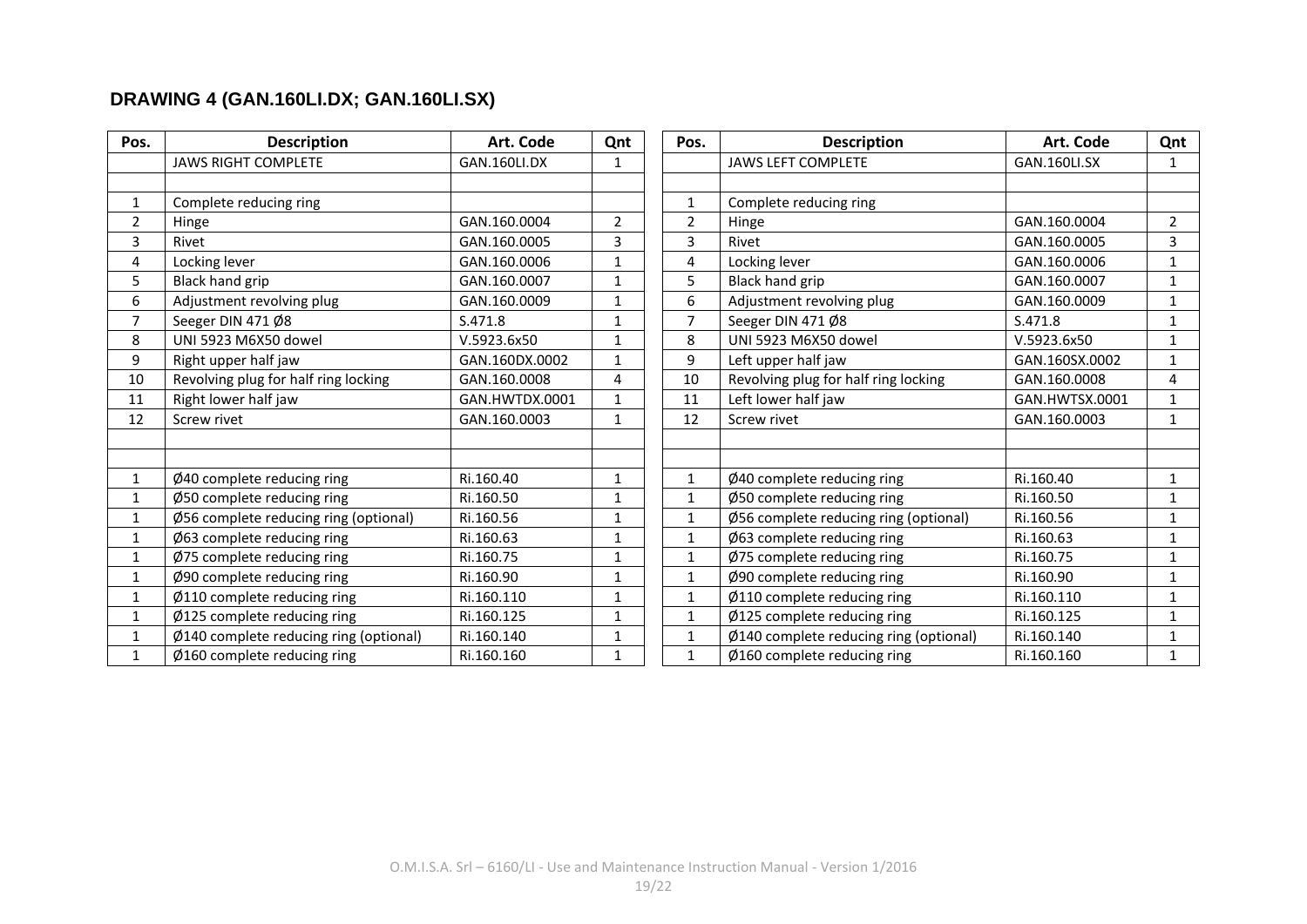### **DRAWING 4 (GAN.160LI.DX; GAN.160LI.SX)**

| Pos.           | <b>Description</b>                     | Art. Code      | Qnt            | Pos.           | <b>Description</b>                     | Art. Code      | Qnt            |
|----------------|----------------------------------------|----------------|----------------|----------------|----------------------------------------|----------------|----------------|
|                | <b>JAWS RIGHT COMPLETE</b>             | GAN.160LI.DX   | 1              |                | <b>JAWS LEFT COMPLETE</b>              | GAN.160LI.SX   | $\mathbf{1}$   |
|                |                                        |                |                |                |                                        |                |                |
| $\mathbf{1}$   | Complete reducing ring                 |                |                | $\mathbf{1}$   | Complete reducing ring                 |                |                |
| $\overline{2}$ | Hinge                                  | GAN.160.0004   | $\overline{2}$ | $\overline{2}$ | Hinge                                  | GAN.160.0004   | $\overline{2}$ |
| 3              | Rivet                                  | GAN.160.0005   | 3              | 3              | Rivet                                  | GAN.160.0005   | 3              |
| 4              | Locking lever                          | GAN.160.0006   | 1              | 4              | Locking lever                          | GAN.160.0006   | $\mathbf{1}$   |
| 5              | <b>Black hand grip</b>                 | GAN.160.0007   | 1              | 5              | Black hand grip                        | GAN.160.0007   | $\mathbf{1}$   |
| 6              | Adjustment revolving plug              | GAN.160.0009   | 1              | 6              | Adjustment revolving plug              | GAN.160.0009   | $\mathbf{1}$   |
| 7              | Seeger DIN 471 Ø8                      | S.471.8        | 1              | $\overline{7}$ | Seeger DIN 471 Ø8                      | S.471.8        | $\mathbf{1}$   |
| 8              | UNI 5923 M6X50 dowel                   | V.5923.6x50    | 1              | 8              | UNI 5923 M6X50 dowel                   | V.5923.6x50    | $\mathbf{1}$   |
| 9              | Right upper half jaw                   | GAN.160DX.0002 | 1              | 9              | Left upper half jaw                    | GAN.160SX.0002 | $\mathbf{1}$   |
| 10             | Revolving plug for half ring locking   | GAN.160.0008   | 4              | 10             | Revolving plug for half ring locking   | GAN.160.0008   | 4              |
| 11             | Right lower half jaw                   | GAN.HWTDX.0001 | 1              | 11             | Left lower half jaw                    | GAN.HWTSX.0001 | $\mathbf{1}$   |
| 12             | Screw rivet                            | GAN.160.0003   | $\mathbf{1}$   | 12             | Screw rivet                            | GAN.160.0003   | $\mathbf{1}$   |
|                |                                        |                |                |                |                                        |                |                |
|                |                                        |                |                |                |                                        |                |                |
| $\mathbf{1}$   | Ø40 complete reducing ring             | Ri.160.40      | 1              | $\mathbf{1}$   | Ø40 complete reducing ring             | Ri.160.40      | $\mathbf{1}$   |
| $\mathbf{1}$   | Ø50 complete reducing ring             | Ri.160.50      | 1              | $\mathbf{1}$   | Ø50 complete reducing ring             | Ri.160.50      | $\mathbf{1}$   |
| $\mathbf{1}$   | Ø56 complete reducing ring (optional)  | Ri.160.56      | $\mathbf{1}$   | $\mathbf{1}$   | Ø56 complete reducing ring (optional)  | Ri.160.56      | $\mathbf{1}$   |
| $\mathbf{1}$   | Ø63 complete reducing ring             | Ri.160.63      | $\mathbf{1}$   | $\mathbf{1}$   | Ø63 complete reducing ring             | Ri.160.63      | 1              |
| $\mathbf{1}$   | Ø75 complete reducing ring             | Ri.160.75      | 1              | $\mathbf{1}$   | Ø75 complete reducing ring             | Ri.160.75      | $\mathbf{1}$   |
| $\mathbf{1}$   | Ø90 complete reducing ring             | Ri.160.90      | 1              | $\mathbf{1}$   | Ø90 complete reducing ring             | Ri.160.90      | $\mathbf{1}$   |
| $\mathbf{1}$   | Ø110 complete reducing ring            | Ri.160.110     | $\mathbf{1}$   | $\mathbf{1}$   | Ø110 complete reducing ring            | Ri.160.110     | $\mathbf{1}$   |
| $\mathbf{1}$   | Ø125 complete reducing ring            | Ri.160.125     | 1              | $\mathbf{1}$   | Ø125 complete reducing ring            | Ri.160.125     | 1              |
| $\mathbf{1}$   | Ø140 complete reducing ring (optional) | Ri.160.140     | 1              | $\mathbf{1}$   | Ø140 complete reducing ring (optional) | Ri.160.140     | $\mathbf{1}$   |
| 1              | $\emptyset$ 160 complete reducing ring | Ri.160.160     | $\mathbf{1}$   | $\mathbf{1}$   | $\emptyset$ 160 complete reducing ring | Ri.160.160     | $\mathbf{1}$   |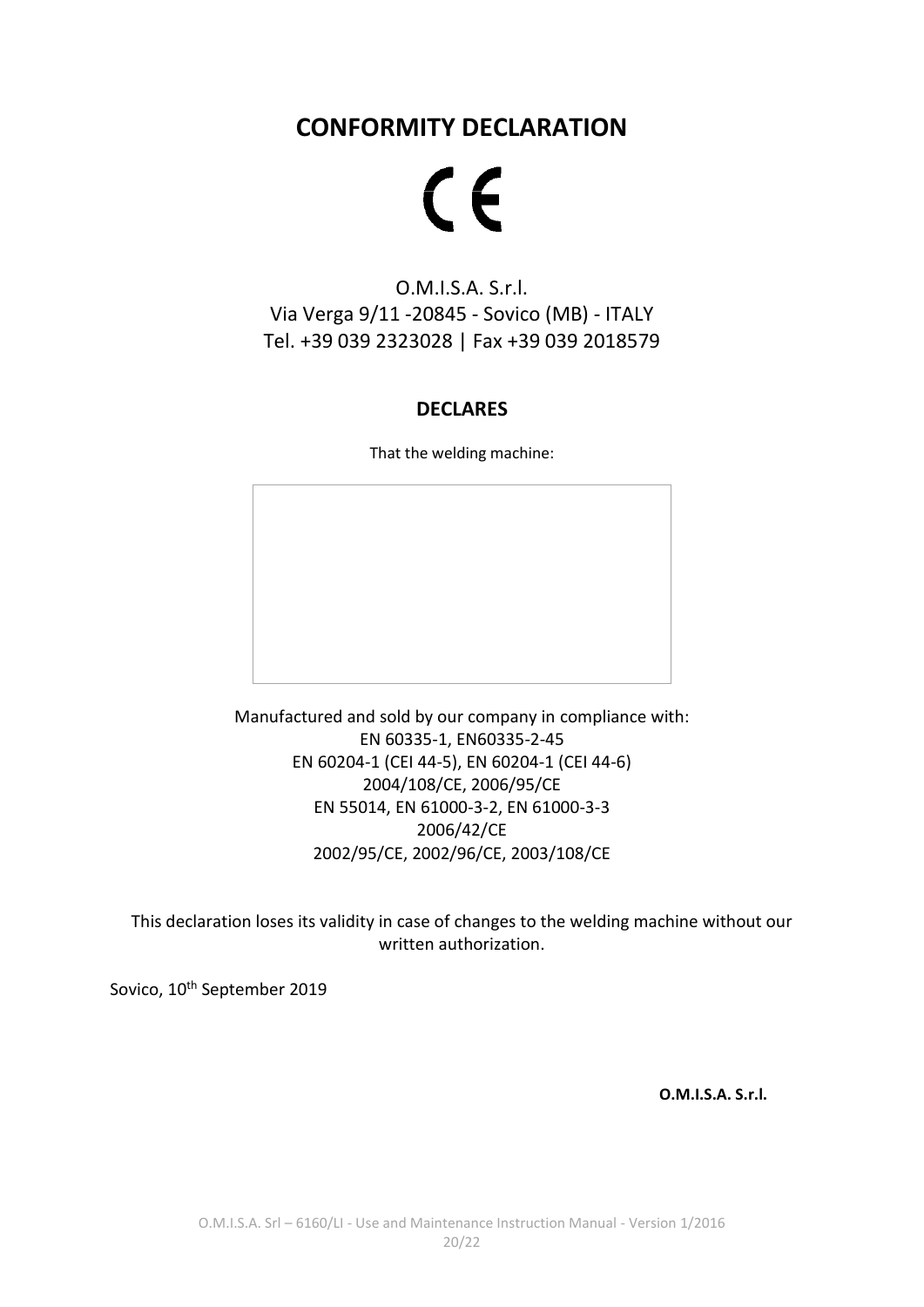# **CONFORMITY DECLARATION**

# $C<sub>f</sub>$

## O.M.I.S.A. S.r.l. Via Verga 9/11 -20845 - Sovico (MB) - ITALY Tel. +39 039 2323028 | Fax +39 039 2018579

#### **DECLARES**

That the welding machine:

Manufactured and sold by our company in compliance with: EN 60335-1, EN60335-2-45 EN 60204-1 (CEI 44-5), EN 60204-1 (CEI 44-6) 2004/108/CE, 2006/95/CE EN 55014, EN 61000-3-2, EN 61000-3-3 2006/42/CE 2002/95/CE, 2002/96/CE, 2003/108/CE

This declaration loses its validity in case of changes to the welding machine without our written authorization.

Sovico, 10<sup>th</sup> September 2019

**O.M.I.S.A. S.r.l.**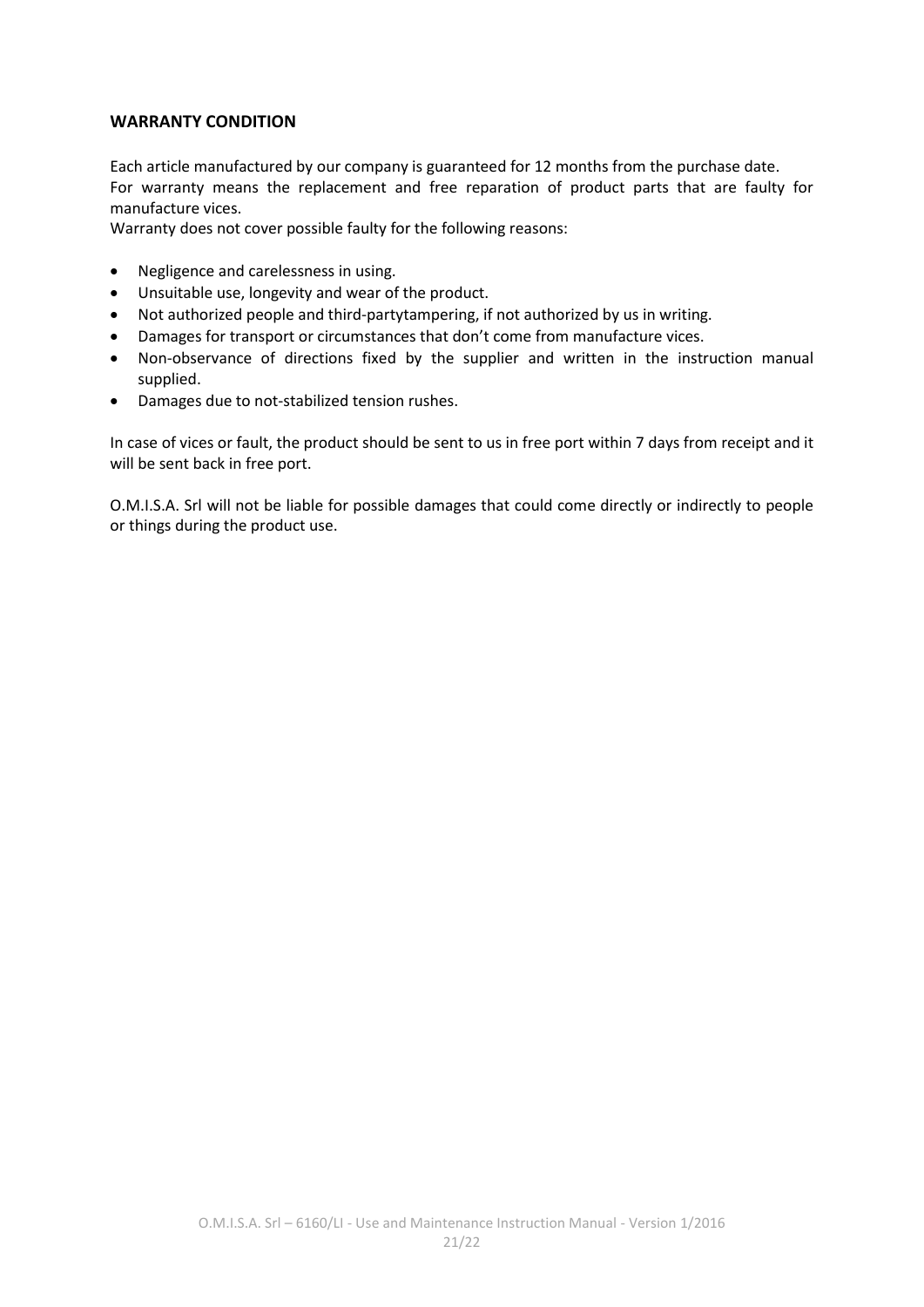#### **WARRANTY CONDITION**

Each article manufactured by our company is guaranteed for 12 months from the purchase date. For warranty means the replacement and free reparation of product parts that are faulty for manufacture vices.

Warranty does not cover possible faulty for the following reasons:

- Negligence and carelessness in using.
- Unsuitable use, longevity and wear of the product.
- Not authorized people and third-partytampering, if not authorized by us in writing.
- Damages for transport or circumstances that don't come from manufacture vices.
- Non-observance of directions fixed by the supplier and written in the instruction manual supplied.
- Damages due to not-stabilized tension rushes.

In case of vices or fault, the product should be sent to us in free port within 7 days from receipt and it will be sent back in free port.

O.M.I.S.A. Srl will not be liable for possible damages that could come directly or indirectly to people or things during the product use.